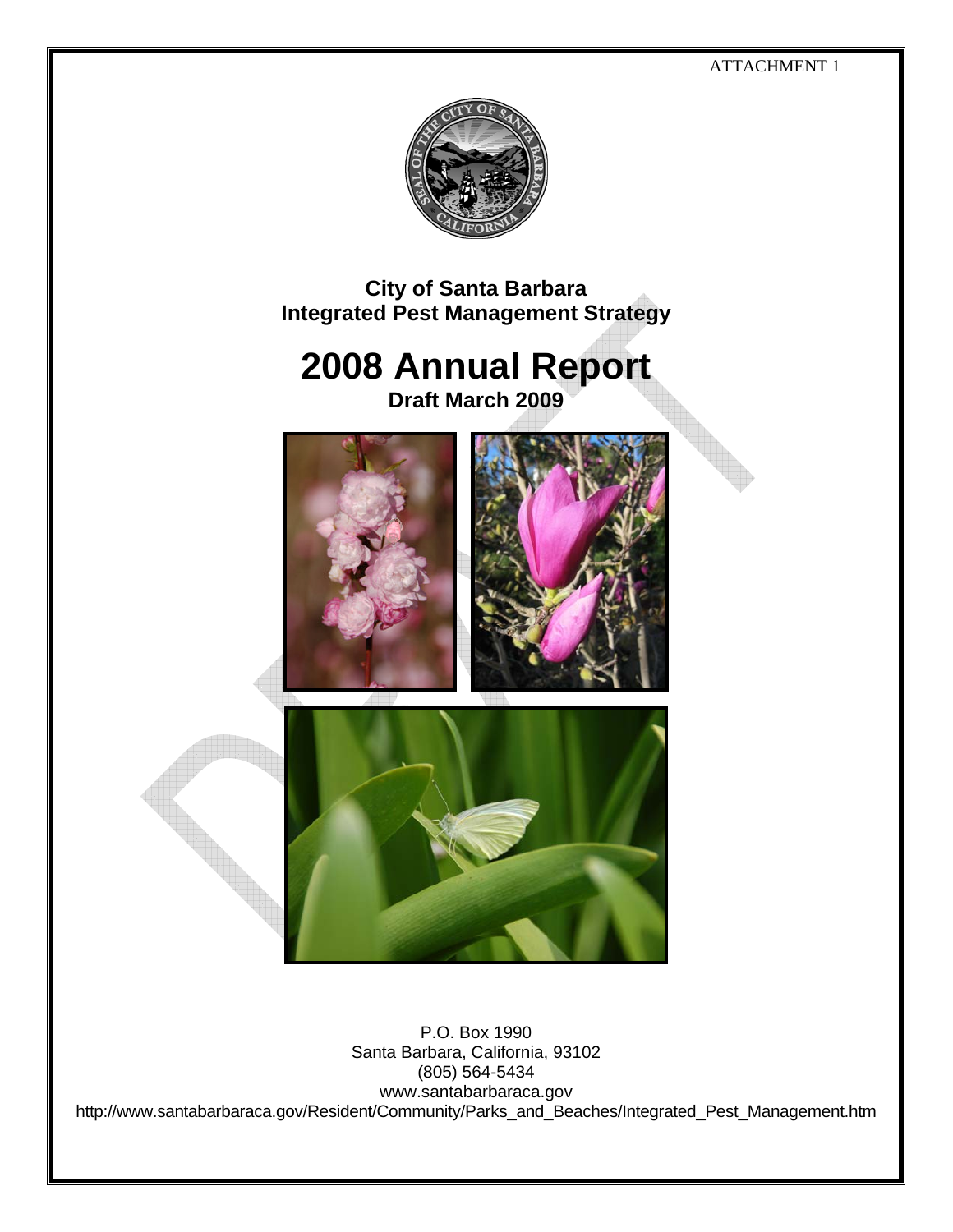#### ATTACHMENT 1



**City of Santa Barbara Integrated Pest Management Strategy** 

# **2008 Annual Report**

**Draft March 2009** 





P.O. Box 1990 Santa Barbara, California, 93102 (805) 564-5434 www.santabarbaraca.gov http://www.santabarbaraca.gov/Resident/Community/Parks\_and\_Beaches/Integrated\_Pest\_Management.htm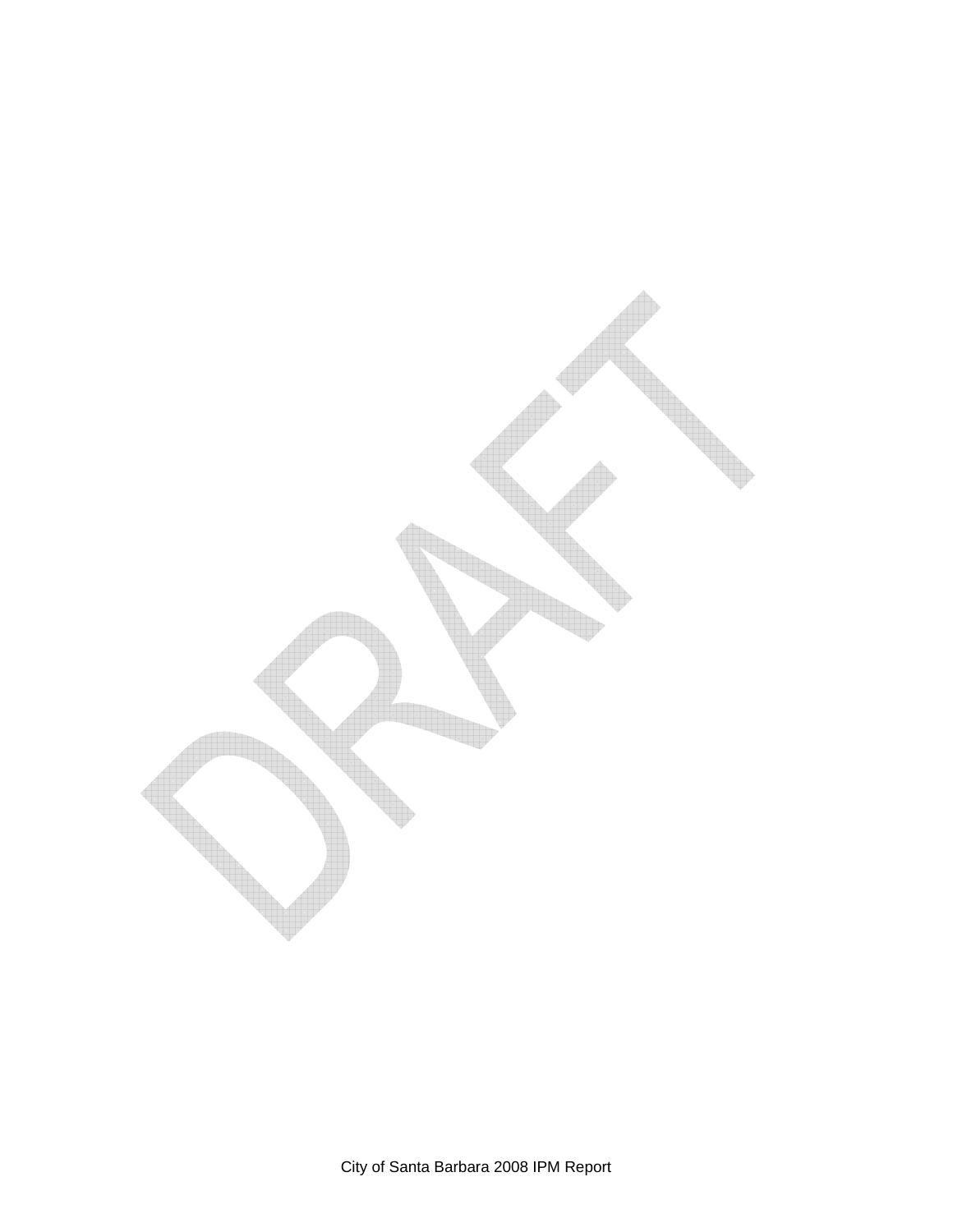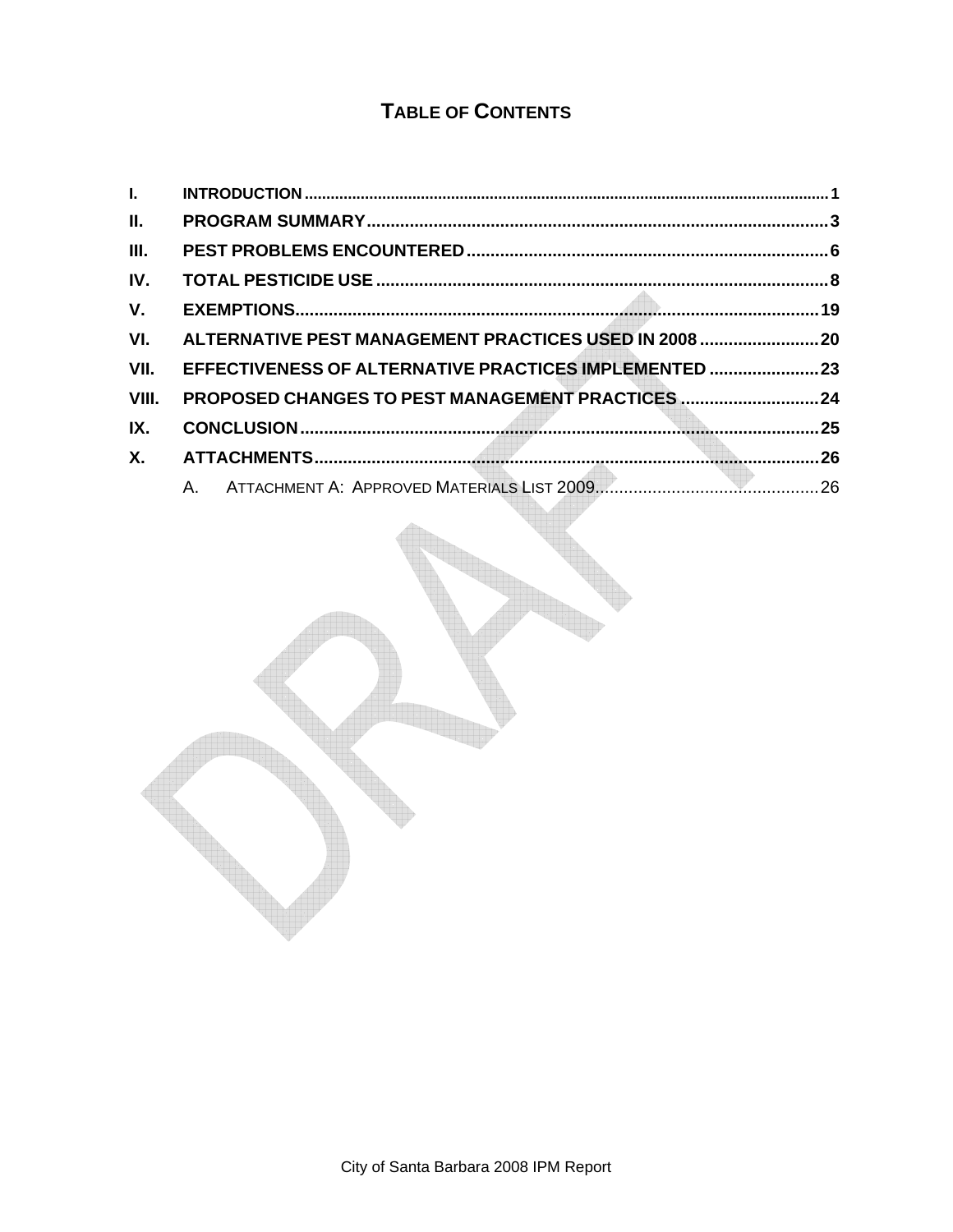### **TABLE OF CONTENTS**

| $\mathbf{L}$ |                                                        |  |
|--------------|--------------------------------------------------------|--|
| II.          |                                                        |  |
| III.         |                                                        |  |
| IV.          |                                                        |  |
| $V_{\cdot}$  |                                                        |  |
| VI.          | ALTERNATIVE PEST MANAGEMENT PRACTICES USED IN 2008  20 |  |
| VII.         | EFFECTIVENESS OF ALTERNATIVE PRACTICES IMPLEMENTED 23  |  |
| VIII.        | PROPOSED CHANGES TO PEST MANAGEMENT PRACTICES  24      |  |
| IX.          |                                                        |  |
| <b>X.</b>    |                                                        |  |
|              |                                                        |  |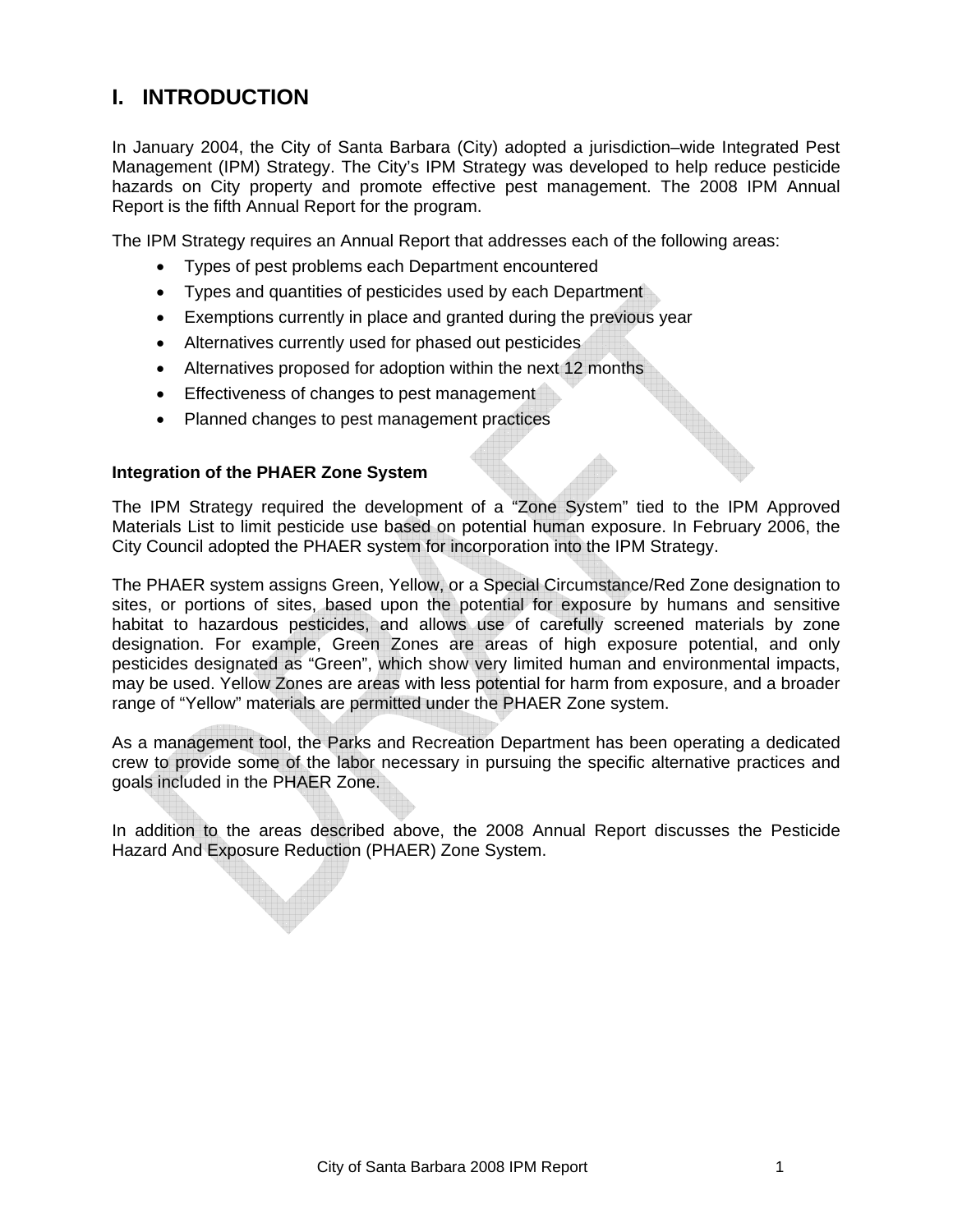### **I. INTRODUCTION**

In January 2004, the City of Santa Barbara (City) adopted a jurisdiction–wide Integrated Pest Management (IPM) Strategy. The City's IPM Strategy was developed to help reduce pesticide hazards on City property and promote effective pest management. The 2008 IPM Annual Report is the fifth Annual Report for the program.

The IPM Strategy requires an Annual Report that addresses each of the following areas:

- Types of pest problems each Department encountered
- Types and quantities of pesticides used by each Department
- Exemptions currently in place and granted during the previous year
- Alternatives currently used for phased out pesticides
- Alternatives proposed for adoption within the next 12 months
- Effectiveness of changes to pest management
- Planned changes to pest management practices

#### **Integration of the PHAER Zone System**

The IPM Strategy required the development of a "Zone System" tied to the IPM Approved Materials List to limit pesticide use based on potential human exposure. In February 2006, the City Council adopted the PHAER system for incorporation into the IPM Strategy.

The PHAER system assigns Green, Yellow, or a Special Circumstance/Red Zone designation to sites, or portions of sites, based upon the potential for exposure by humans and sensitive habitat to hazardous pesticides, and allows use of carefully screened materials by zone designation. For example, Green Zones are areas of high exposure potential, and only pesticides designated as "Green", which show very limited human and environmental impacts, may be used. Yellow Zones are areas with less potential for harm from exposure, and a broader range of "Yellow" materials are permitted under the PHAER Zone system.

As a management tool, the Parks and Recreation Department has been operating a dedicated crew to provide some of the labor necessary in pursuing the specific alternative practices and goals included in the PHAER Zone.

In addition to the areas described above, the 2008 Annual Report discusses the Pesticide Hazard And Exposure Reduction (PHAER) Zone System.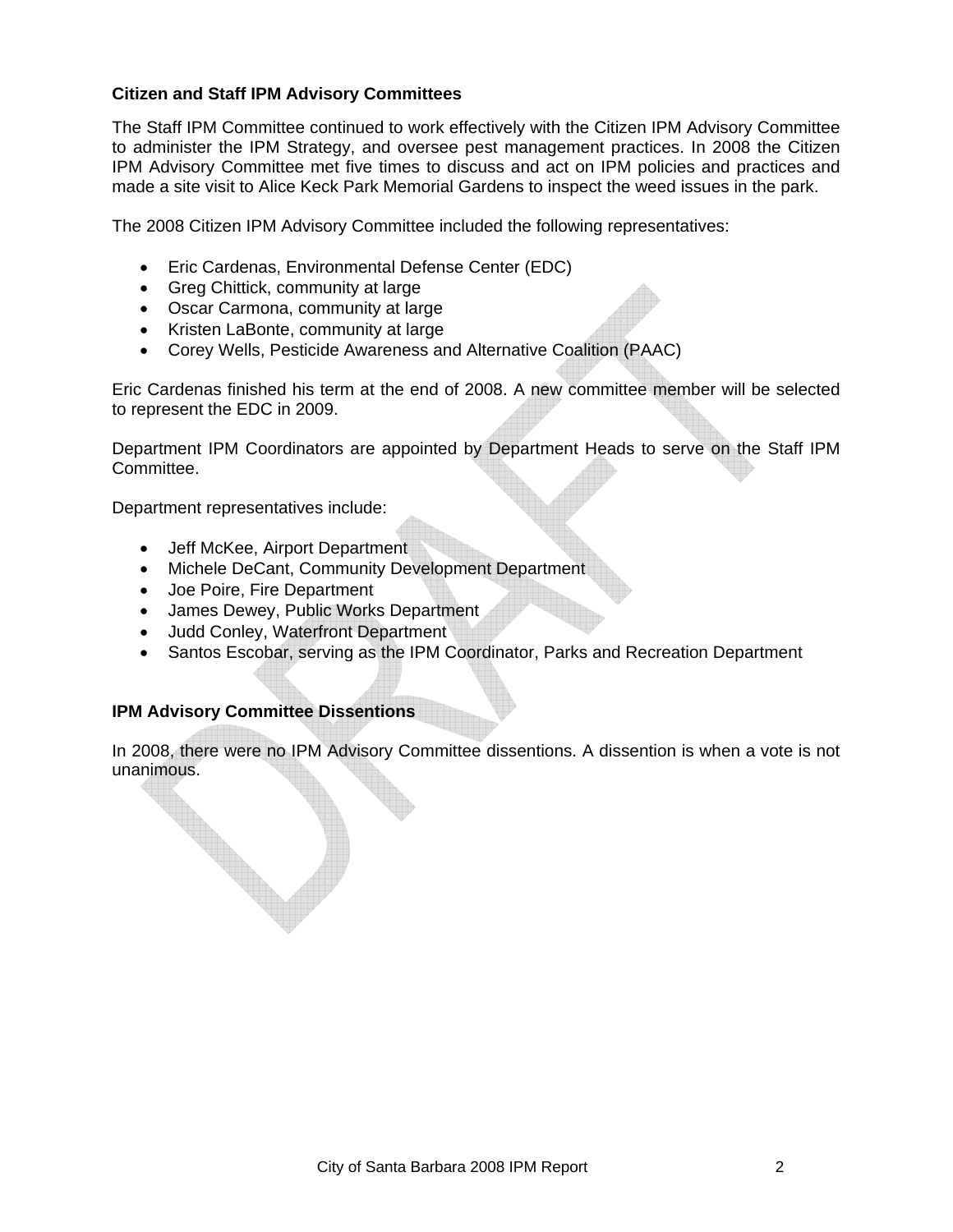#### **Citizen and Staff IPM Advisory Committees**

The Staff IPM Committee continued to work effectively with the Citizen IPM Advisory Committee to administer the IPM Strategy, and oversee pest management practices. In 2008 the Citizen IPM Advisory Committee met five times to discuss and act on IPM policies and practices and made a site visit to Alice Keck Park Memorial Gardens to inspect the weed issues in the park.

The 2008 Citizen IPM Advisory Committee included the following representatives:

- Eric Cardenas, Environmental Defense Center (EDC)
- Greg Chittick, community at large
- Oscar Carmona, community at large
- Kristen LaBonte, community at large
- Corey Wells, Pesticide Awareness and Alternative Coalition (PAAC)

Eric Cardenas finished his term at the end of 2008. A new committee member will be selected to represent the EDC in 2009.

Department IPM Coordinators are appointed by Department Heads to serve on the Staff IPM Committee.

Department representatives include:

- Jeff McKee, Airport Department
- Michele DeCant, Community Development Department
- Joe Poire, Fire Department
- James Dewey, Public Works Department
- Judd Conley, Waterfront Department
- Santos Escobar, serving as the IPM Coordinator, Parks and Recreation Department

#### **IPM Advisory Committee Dissentions**

In 2008, there were no IPM Advisory Committee dissentions. A dissention is when a vote is not unanimous.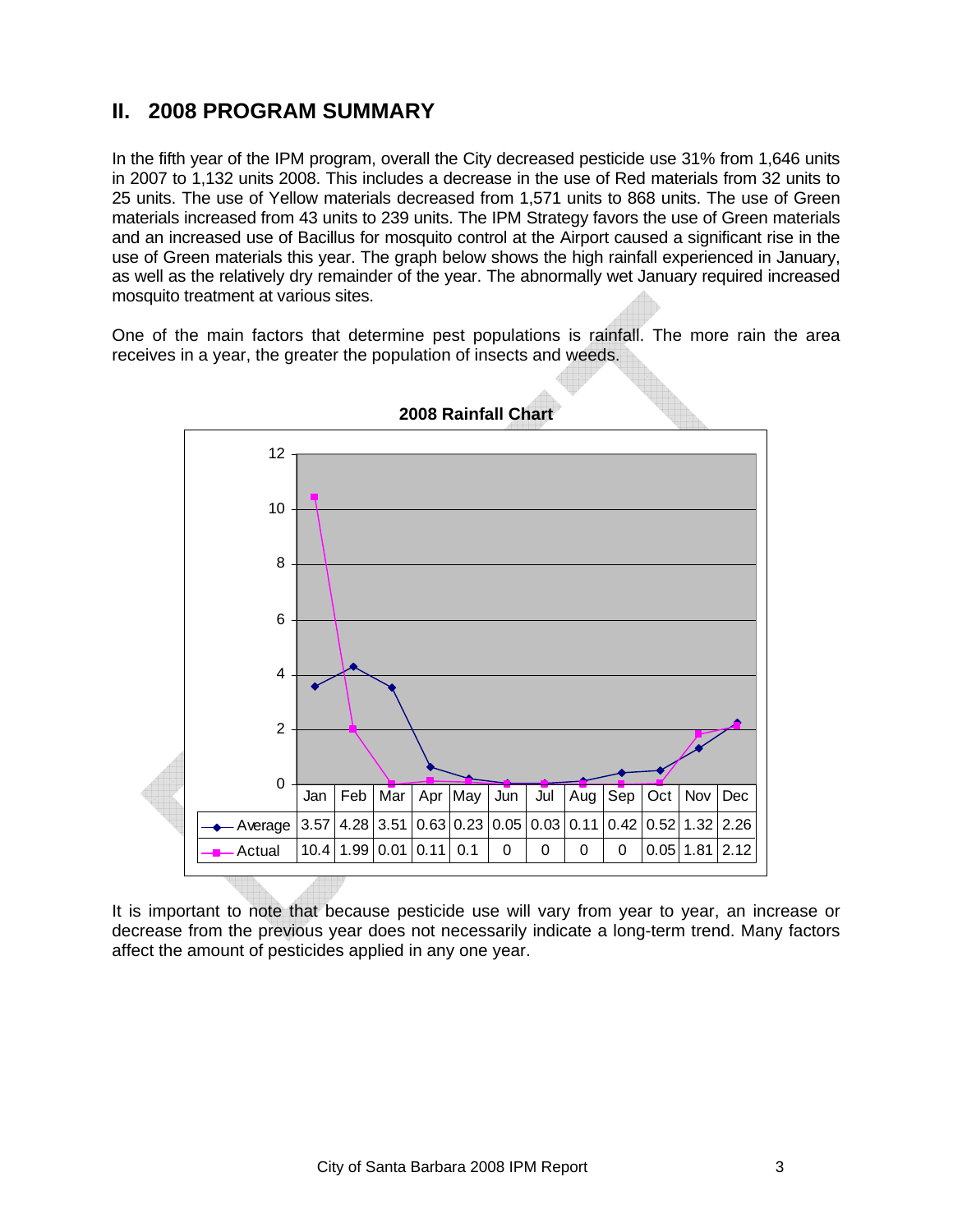### **II. 2008 PROGRAM SUMMARY**

In the fifth year of the IPM program, overall the City decreased pesticide use 31% from 1,646 units in 2007 to 1,132 units 2008. This includes a decrease in the use of Red materials from 32 units to 25 units. The use of Yellow materials decreased from 1,571 units to 868 units. The use of Green materials increased from 43 units to 239 units. The IPM Strategy favors the use of Green materials and an increased use of Bacillus for mosquito control at the Airport caused a significant rise in the use of Green materials this year. The graph below shows the high rainfall experienced in January, as well as the relatively dry remainder of the year. The abnormally wet January required increased mosquito treatment at various sites.

One of the main factors that determine pest populations is rainfall. The more rain the area receives in a year, the greater the population of insects and weeds.



**2008 Rainfall Chart** 

It is important to note that because pesticide use will vary from year to year, an increase or decrease from the previous year does not necessarily indicate a long-term trend. Many factors affect the amount of pesticides applied in any one year.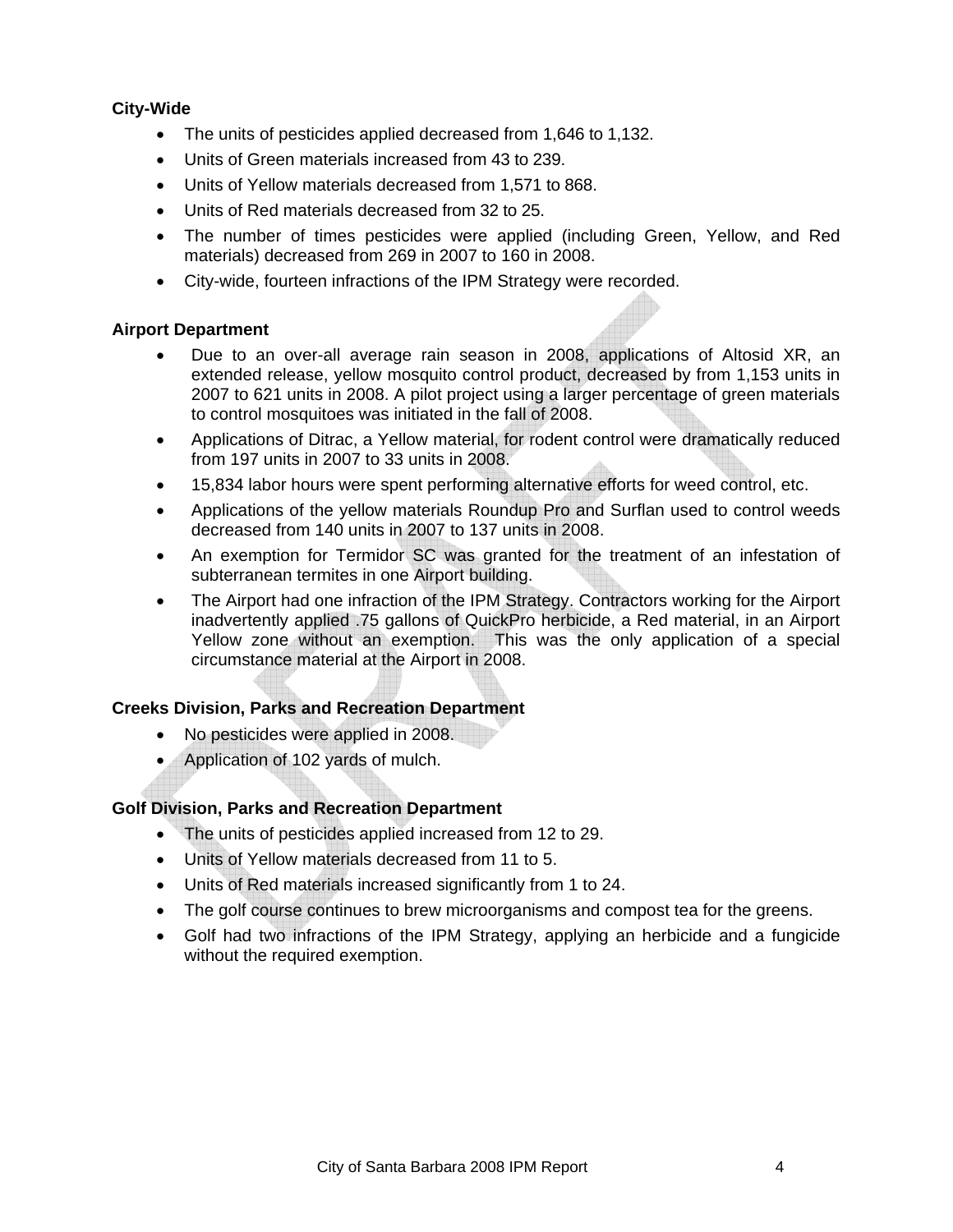#### **City-Wide**

- The units of pesticides applied decreased from 1,646 to 1,132.
- Units of Green materials increased from 43 to 239.
- Units of Yellow materials decreased from 1,571 to 868.
- Units of Red materials decreased from 32 to 25.
- The number of times pesticides were applied (including Green, Yellow, and Red materials) decreased from 269 in 2007 to 160 in 2008.
- City-wide, fourteen infractions of the IPM Strategy were recorded.

#### **Airport Department**

- Due to an over-all average rain season in 2008, applications of Altosid XR, an extended release, yellow mosquito control product, decreased by from 1,153 units in 2007 to 621 units in 2008. A pilot project using a larger percentage of green materials to control mosquitoes was initiated in the fall of 2008.
- Applications of Ditrac, a Yellow material, for rodent control were dramatically reduced from 197 units in 2007 to 33 units in 2008.
- 15,834 labor hours were spent performing alternative efforts for weed control, etc.
- Applications of the yellow materials Roundup Pro and Surflan used to control weeds decreased from 140 units in 2007 to 137 units in 2008.
- An exemption for Termidor SC was granted for the treatment of an infestation of subterranean termites in one Airport building.
- The Airport had one infraction of the IPM Strategy. Contractors working for the Airport inadvertently applied .75 gallons of QuickPro herbicide, a Red material, in an Airport Yellow zone without an exemption. This was the only application of a special circumstance material at the Airport in 2008.

#### **Creeks Division, Parks and Recreation Department**

- No pesticides were applied in 2008.
- Application of 102 yards of mulch.

#### **Golf Division, Parks and Recreation Department**

- The units of pesticides applied increased from 12 to 29.
- Units of Yellow materials decreased from 11 to 5.
- Units of Red materials increased significantly from 1 to 24.
- The golf course continues to brew microorganisms and compost tea for the greens.
- Golf had two infractions of the IPM Strategy, applying an herbicide and a fungicide without the required exemption.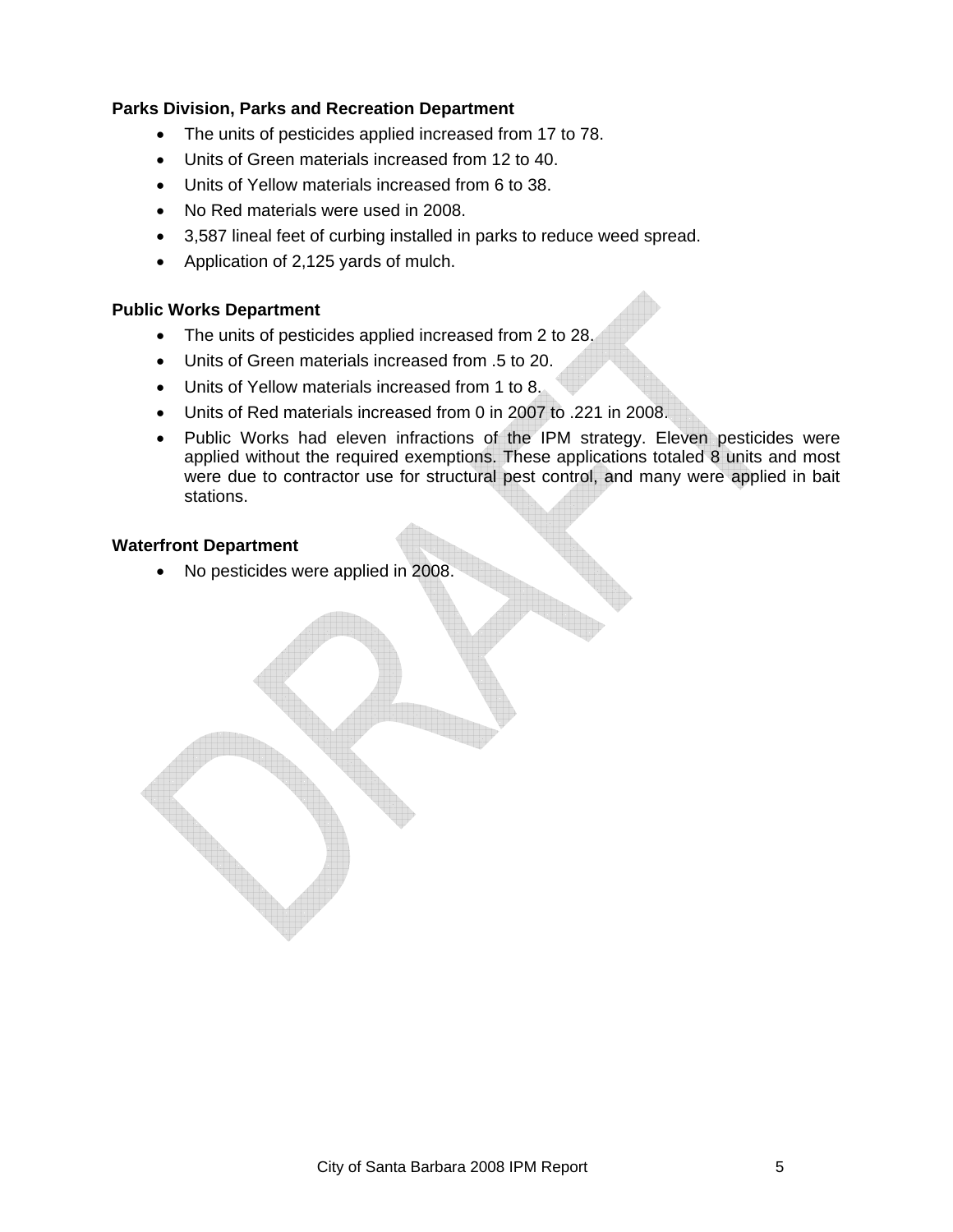#### **Parks Division, Parks and Recreation Department**

- The units of pesticides applied increased from 17 to 78.
- Units of Green materials increased from 12 to 40.
- Units of Yellow materials increased from 6 to 38.
- No Red materials were used in 2008.
- 3,587 lineal feet of curbing installed in parks to reduce weed spread.
- Application of 2,125 yards of mulch.

#### **Public Works Department**

- The units of pesticides applied increased from 2 to 28.
- Units of Green materials increased from .5 to 20.
- Units of Yellow materials increased from 1 to 8.
- Units of Red materials increased from 0 in 2007 to .221 in 2008.
- Public Works had eleven infractions of the IPM strategy. Eleven pesticides were applied without the required exemptions. These applications totaled 8 units and most were due to contractor use for structural pest control, and many were applied in bait stations.

#### **Waterfront Department**

• No pesticides were applied in 2008.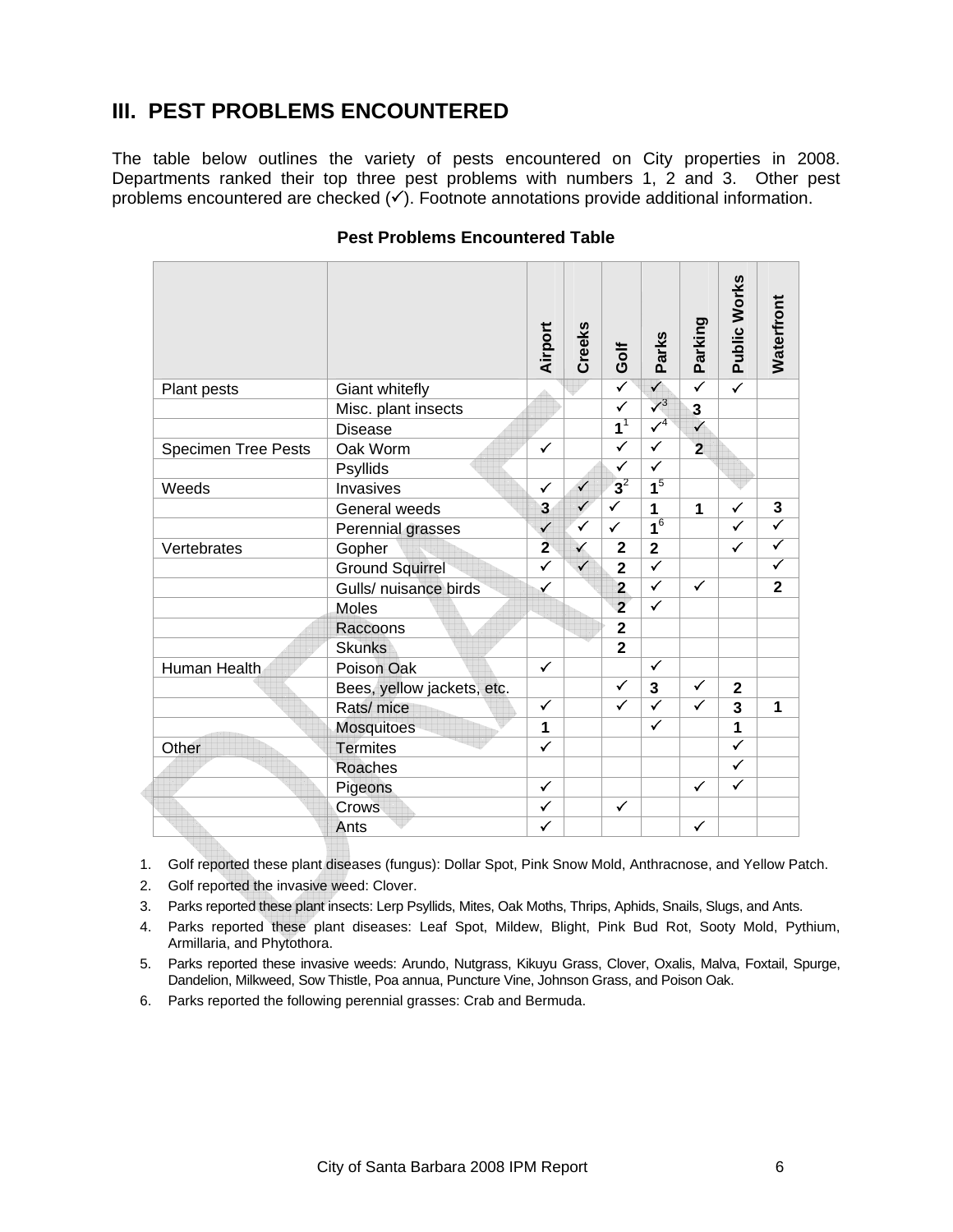### **III. PEST PROBLEMS ENCOUNTERED**

The table below outlines the variety of pests encountered on City properties in 2008. Departments ranked their top three pest problems with numbers 1, 2 and 3. Other pest problems encountered are checked  $(\checkmark)$ . Footnote annotations provide additional information.

|                            |                            | Airport                 | Creeks       | Golf                      | Parks                   | Parking        | <b>Public Works</b> | Waterfront              |
|----------------------------|----------------------------|-------------------------|--------------|---------------------------|-------------------------|----------------|---------------------|-------------------------|
| Plant pests                | Giant whitefly             |                         |              | $\checkmark$              | $\checkmark$            | $\checkmark$   | $\checkmark$        |                         |
|                            | Misc. plant insects        |                         |              | ✓                         | $\sqrt{3}$              | 3              |                     |                         |
|                            | <b>Disease</b>             |                         |              | $\overline{\mathbf{1}^1}$ | $\sqrt{4}$              | $\checkmark$   |                     |                         |
| <b>Specimen Tree Pests</b> | Oak Worm                   | ✓                       |              | ✓                         | $\checkmark$            | $\overline{2}$ |                     |                         |
|                            | Psyllids                   |                         |              | ✓                         | $\checkmark$            |                |                     |                         |
| Weeds                      | Invasives                  | $\checkmark$            | $\checkmark$ | 3 <sup>2</sup>            | $1^{\overline{5}}$      |                |                     |                         |
|                            | General weeds              | $\overline{\mathbf{3}}$ | $\checkmark$ | $\checkmark$              | 1                       | 1              | $\checkmark$        | 3                       |
|                            | Perennial grasses          | $\checkmark$            | $\checkmark$ | $\checkmark$              | $\overline{1^6}$        |                | $\checkmark$        | $\overline{\checkmark}$ |
| Vertebrates                | Gopher                     | $\overline{2}$          | $\checkmark$ | $\overline{\mathbf{2}}$   | $\overline{\mathbf{2}}$ |                | $\checkmark$        | $\overline{\checkmark}$ |
|                            | <b>Ground Squirrel</b>     | $\checkmark$            | $\checkmark$ | $\overline{2}$            | $\checkmark$            |                |                     | $\overline{\checkmark}$ |
|                            | Gulls/ nuisance birds      | ✓                       |              | $\overline{2}$            | $\checkmark$            | $\checkmark$   |                     | $\overline{2}$          |
|                            | Moles                      |                         |              | $\overline{2}$            | $\checkmark$            |                |                     |                         |
|                            | Raccoons                   |                         |              | $\overline{\mathbf{2}}$   |                         |                |                     |                         |
|                            | <b>Skunks</b>              |                         |              | $\overline{\mathbf{2}}$   |                         |                |                     |                         |
| Human Health               | Poison Oak                 | $\checkmark$            |              |                           | $\checkmark$            |                |                     |                         |
|                            | Bees, yellow jackets, etc. |                         |              | $\checkmark$              | $\mathbf{3}$            | $\checkmark$   | $\overline{2}$      |                         |
|                            | Rats/ mice                 | $\checkmark$            |              | $\checkmark$              | $\checkmark$            | $\checkmark$   | 3                   | 1                       |
|                            | <b>Mosquitoes</b>          | 1                       |              |                           | $\checkmark$            |                | 1                   |                         |
| Other                      | <b>Termites</b>            | $\checkmark$            |              |                           |                         |                | ✓                   |                         |
|                            | Roaches                    |                         |              |                           |                         |                | $\checkmark$        |                         |
|                            | Pigeons                    | $\checkmark$            |              |                           |                         | $\checkmark$   | $\checkmark$        |                         |
|                            | Crows                      | $\checkmark$            |              | ✓                         |                         |                |                     |                         |
|                            | Ants                       | ✓                       |              |                           |                         | ✓              |                     |                         |

#### **Pest Problems Encountered Table**

- 1. Golf reported these plant diseases (fungus): Dollar Spot, Pink Snow Mold, Anthracnose, and Yellow Patch.
- 2. Golf reported the invasive weed: Clover.
- 3. Parks reported these plant insects: Lerp Psyllids, Mites, Oak Moths, Thrips, Aphids, Snails, Slugs, and Ants.
- 4. Parks reported these plant diseases: Leaf Spot, Mildew, Blight, Pink Bud Rot, Sooty Mold, Pythium, Armillaria, and Phytothora.
- 5. Parks reported these invasive weeds: Arundo, Nutgrass, Kikuyu Grass, Clover, Oxalis, Malva, Foxtail, Spurge, Dandelion, Milkweed, Sow Thistle, Poa annua, Puncture Vine, Johnson Grass, and Poison Oak.
- 6. Parks reported the following perennial grasses: Crab and Bermuda.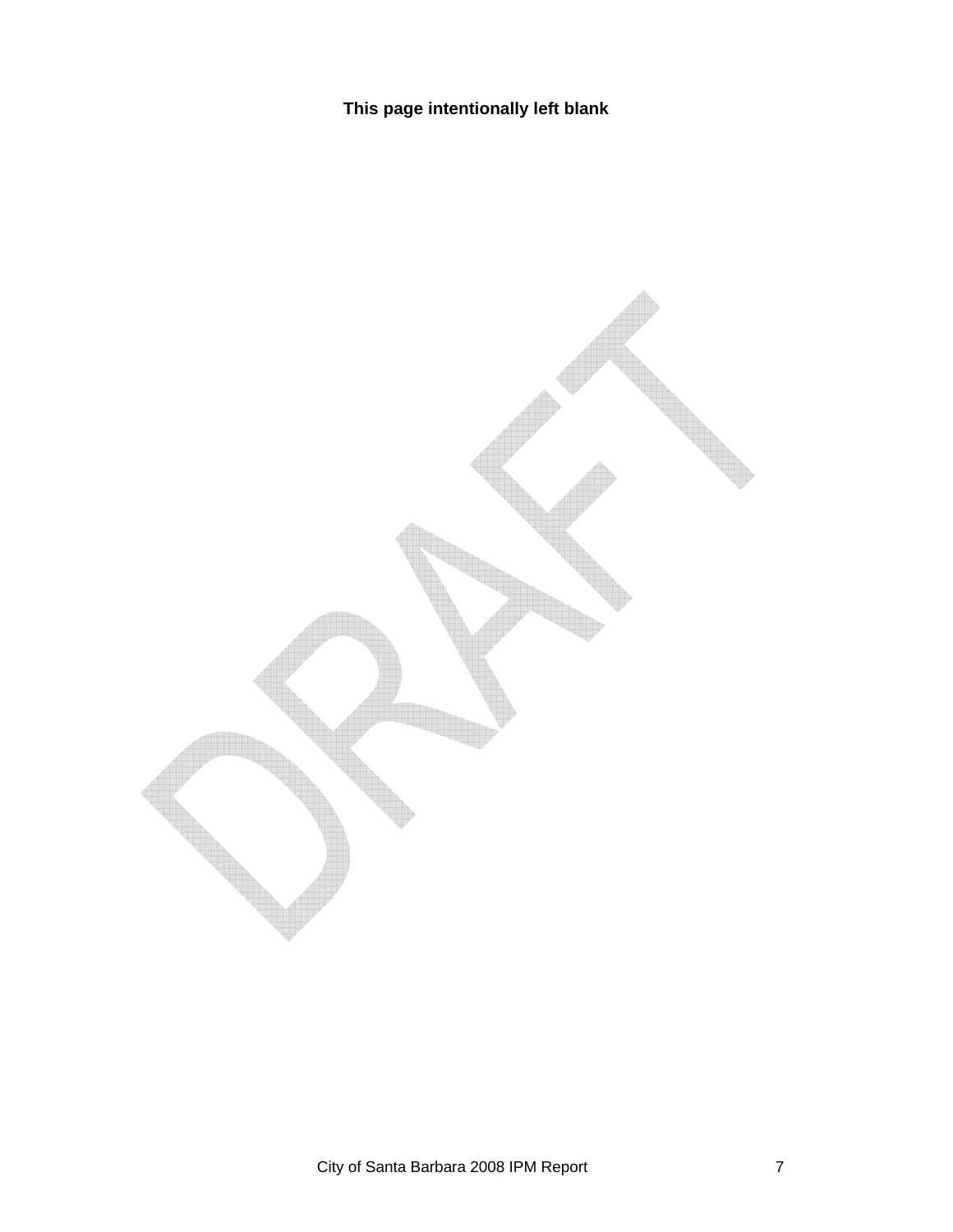### **This page intentionally left blank**

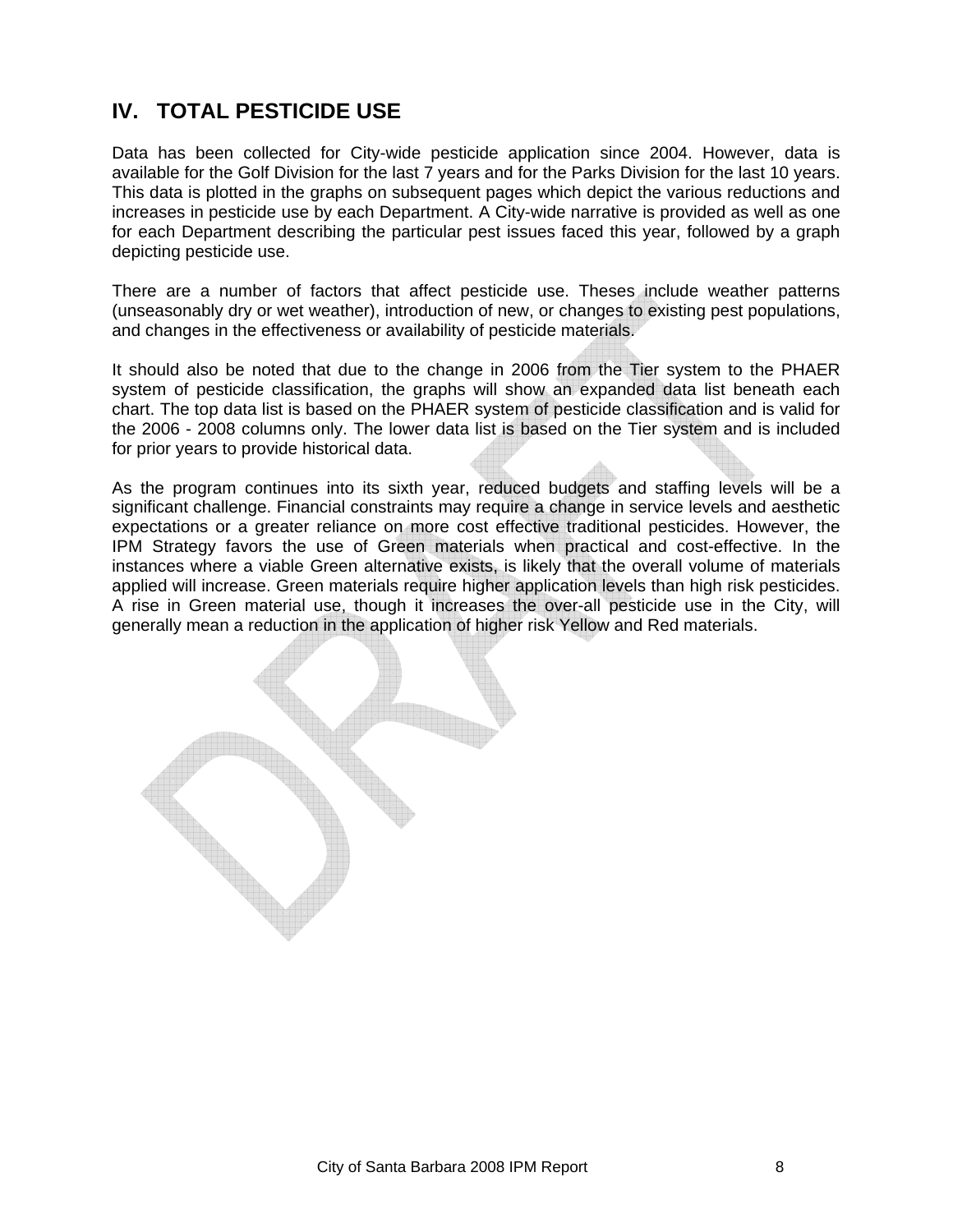### **IV. TOTAL PESTICIDE USE**

Data has been collected for City-wide pesticide application since 2004. However, data is available for the Golf Division for the last 7 years and for the Parks Division for the last 10 years. This data is plotted in the graphs on subsequent pages which depict the various reductions and increases in pesticide use by each Department. A City-wide narrative is provided as well as one for each Department describing the particular pest issues faced this year, followed by a graph depicting pesticide use.

There are a number of factors that affect pesticide use. Theses include weather patterns (unseasonably dry or wet weather), introduction of new, or changes to existing pest populations, and changes in the effectiveness or availability of pesticide materials.

It should also be noted that due to the change in 2006 from the Tier system to the PHAER system of pesticide classification, the graphs will show an expanded data list beneath each chart. The top data list is based on the PHAER system of pesticide classification and is valid for the 2006 - 2008 columns only. The lower data list is based on the Tier system and is included for prior years to provide historical data.

As the program continues into its sixth year, reduced budgets and staffing levels will be a significant challenge. Financial constraints may require a change in service levels and aesthetic expectations or a greater reliance on more cost effective traditional pesticides. However, the IPM Strategy favors the use of Green materials when practical and cost-effective. In the instances where a viable Green alternative exists, is likely that the overall volume of materials applied will increase. Green materials require higher application levels than high risk pesticides. A rise in Green material use, though it increases the over-all pesticide use in the City, will generally mean a reduction in the application of higher risk Yellow and Red materials.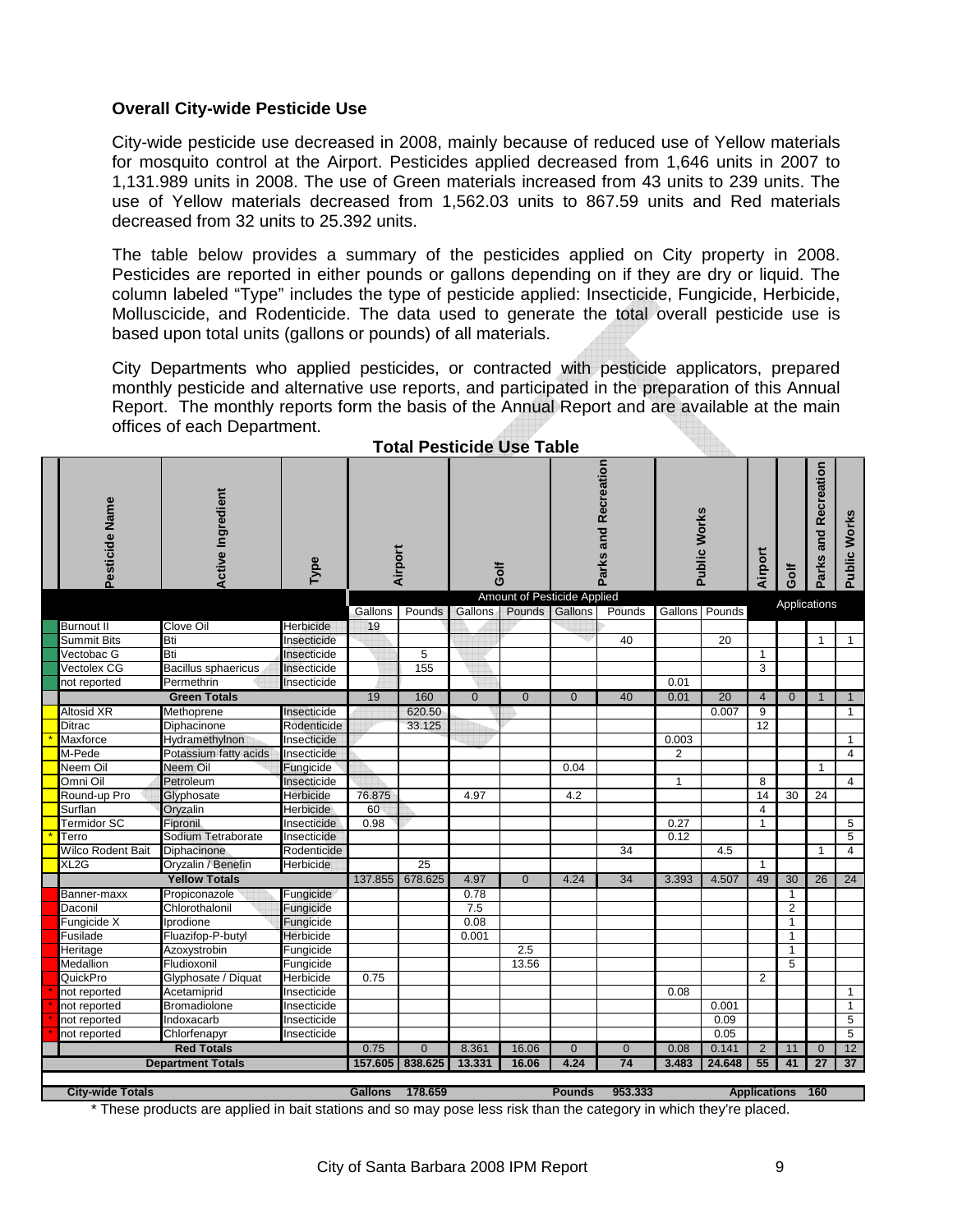#### **Overall City-wide Pesticide Use**

City-wide pesticide use decreased in 2008, mainly because of reduced use of Yellow materials for mosquito control at the Airport. Pesticides applied decreased from 1,646 units in 2007 to 1,131.989 units in 2008. The use of Green materials increased from 43 units to 239 units. The use of Yellow materials decreased from 1,562.03 units to 867.59 units and Red materials decreased from 32 units to 25.392 units.

The table below provides a summary of the pesticides applied on City property in 2008. Pesticides are reported in either pounds or gallons depending on if they are dry or liquid. The column labeled "Type" includes the type of pesticide applied: Insecticide, Fungicide, Herbicide, Molluscicide, and Rodenticide. The data used to generate the total overall pesticide use is based upon total units (gallons or pounds) of all materials.

City Departments who applied pesticides, or contracted with pesticide applicators, prepared monthly pesticide and alternative use reports, and participated in the preparation of this Annual Report. The monthly reports form the basis of the Annual Report and are available at the main offices of each Department.

| Pesticide Name          | Active Ingredient          | Type        |                           | Airport            |          | Golf           |                       |               |                |                  |                           |              |                 |                |  |  |  |  |  |  |  |  |  |  |  |  |  |  |  |  |  |  |  |  |  |  |  |  |  |  |  | Amount of Pesticide Applied |  |  |  |  |  |  |  |  |  |  |  |  |  |  |  |  |  |  |  |  |  |  |  |  |  | and Recreation<br>Parks |  |  |  |  |  |  |  |  |  |  |  |  |  | <b>Public Works</b> | Airport | ទី | and Recreation<br><b>Parks</b> | <b>Public Works</b> |
|-------------------------|----------------------------|-------------|---------------------------|--------------------|----------|----------------|-----------------------|---------------|----------------|------------------|---------------------------|--------------|-----------------|----------------|--|--|--|--|--|--|--|--|--|--|--|--|--|--|--|--|--|--|--|--|--|--|--|--|--|--|--|-----------------------------|--|--|--|--|--|--|--|--|--|--|--|--|--|--|--|--|--|--|--|--|--|--|--|--|--|-------------------------|--|--|--|--|--|--|--|--|--|--|--|--|--|---------------------|---------|----|--------------------------------|---------------------|
|                         |                            |             | Gallons                   | Pounds             | Gallons  | Pounds         | Gallons               | Pounds        |                | Gallons   Pounds |                           | Applications |                 |                |  |  |  |  |  |  |  |  |  |  |  |  |  |  |  |  |  |  |  |  |  |  |  |  |  |  |  |                             |  |  |  |  |  |  |  |  |  |  |  |  |  |  |  |  |  |  |  |  |  |  |  |  |  |                         |  |  |  |  |  |  |  |  |  |  |  |  |  |                     |         |    |                                |                     |
| Burnout II              | Clove Oil                  | Herbicide   | 19                        |                    |          |                |                       |               |                |                  |                           |              |                 |                |  |  |  |  |  |  |  |  |  |  |  |  |  |  |  |  |  |  |  |  |  |  |  |  |  |  |  |                             |  |  |  |  |  |  |  |  |  |  |  |  |  |  |  |  |  |  |  |  |  |  |  |  |  |                         |  |  |  |  |  |  |  |  |  |  |  |  |  |                     |         |    |                                |                     |
| <b>Summit Bits</b>      | <b>Bti</b>                 | Insecticide |                           |                    |          |                |                       | 40            |                | 20               |                           |              | $\mathbf{1}$    | $\mathbf{1}$   |  |  |  |  |  |  |  |  |  |  |  |  |  |  |  |  |  |  |  |  |  |  |  |  |  |  |  |                             |  |  |  |  |  |  |  |  |  |  |  |  |  |  |  |  |  |  |  |  |  |  |  |  |  |                         |  |  |  |  |  |  |  |  |  |  |  |  |  |                     |         |    |                                |                     |
| Vectobac G              | <b>Bti</b>                 | Insecticide |                           | 5                  |          |                |                       |               |                |                  | $\mathbf{1}$              |              |                 |                |  |  |  |  |  |  |  |  |  |  |  |  |  |  |  |  |  |  |  |  |  |  |  |  |  |  |  |                             |  |  |  |  |  |  |  |  |  |  |  |  |  |  |  |  |  |  |  |  |  |  |  |  |  |                         |  |  |  |  |  |  |  |  |  |  |  |  |  |                     |         |    |                                |                     |
| Vectolex CG             | <b>Bacillus sphaericus</b> | Insecticide |                           | 155                |          |                |                       |               |                |                  | 3                         |              |                 |                |  |  |  |  |  |  |  |  |  |  |  |  |  |  |  |  |  |  |  |  |  |  |  |  |  |  |  |                             |  |  |  |  |  |  |  |  |  |  |  |  |  |  |  |  |  |  |  |  |  |  |  |  |  |                         |  |  |  |  |  |  |  |  |  |  |  |  |  |                     |         |    |                                |                     |
| not reported            | Permethrin                 | Insecticide |                           |                    |          |                |                       |               | 0.01           |                  |                           |              |                 |                |  |  |  |  |  |  |  |  |  |  |  |  |  |  |  |  |  |  |  |  |  |  |  |  |  |  |  |                             |  |  |  |  |  |  |  |  |  |  |  |  |  |  |  |  |  |  |  |  |  |  |  |  |  |                         |  |  |  |  |  |  |  |  |  |  |  |  |  |                     |         |    |                                |                     |
|                         | <b>Green Totals</b>        |             | 19                        | 160                | $\Omega$ | $\Omega$       | $\Omega$              | 40            | 0.01           | 20               | $\overline{4}$            | $\mathbf{0}$ | $\mathbf 1$     | $\mathbf{1}$   |  |  |  |  |  |  |  |  |  |  |  |  |  |  |  |  |  |  |  |  |  |  |  |  |  |  |  |                             |  |  |  |  |  |  |  |  |  |  |  |  |  |  |  |  |  |  |  |  |  |  |  |  |  |                         |  |  |  |  |  |  |  |  |  |  |  |  |  |                     |         |    |                                |                     |
| <b>Altosid XR</b>       | Methoprene                 | Insecticide |                           | 620.50             |          |                |                       |               |                | 0.007            | $\overline{9}$            |              |                 | $\mathbf{1}$   |  |  |  |  |  |  |  |  |  |  |  |  |  |  |  |  |  |  |  |  |  |  |  |  |  |  |  |                             |  |  |  |  |  |  |  |  |  |  |  |  |  |  |  |  |  |  |  |  |  |  |  |  |  |                         |  |  |  |  |  |  |  |  |  |  |  |  |  |                     |         |    |                                |                     |
| Ditrac                  | Diphacinone                | Rodenticide |                           | 33.125             |          |                |                       |               |                |                  | 12                        |              |                 |                |  |  |  |  |  |  |  |  |  |  |  |  |  |  |  |  |  |  |  |  |  |  |  |  |  |  |  |                             |  |  |  |  |  |  |  |  |  |  |  |  |  |  |  |  |  |  |  |  |  |  |  |  |  |                         |  |  |  |  |  |  |  |  |  |  |  |  |  |                     |         |    |                                |                     |
| Maxforce                | Hydramethylnon             | Insecticide |                           |                    |          |                |                       |               | 0.003          |                  |                           |              |                 | $\mathbf{1}$   |  |  |  |  |  |  |  |  |  |  |  |  |  |  |  |  |  |  |  |  |  |  |  |  |  |  |  |                             |  |  |  |  |  |  |  |  |  |  |  |  |  |  |  |  |  |  |  |  |  |  |  |  |  |                         |  |  |  |  |  |  |  |  |  |  |  |  |  |                     |         |    |                                |                     |
| M-Pede                  | Potassium fatty acids      | Insecticide |                           |                    |          |                |                       |               | $\overline{2}$ |                  |                           |              |                 | $\overline{4}$ |  |  |  |  |  |  |  |  |  |  |  |  |  |  |  |  |  |  |  |  |  |  |  |  |  |  |  |                             |  |  |  |  |  |  |  |  |  |  |  |  |  |  |  |  |  |  |  |  |  |  |  |  |  |                         |  |  |  |  |  |  |  |  |  |  |  |  |  |                     |         |    |                                |                     |
| Neem Oil                | Neem Oil                   | Fungicide   |                           |                    |          |                | 0.04                  |               |                |                  |                           |              | $\mathbf 1$     |                |  |  |  |  |  |  |  |  |  |  |  |  |  |  |  |  |  |  |  |  |  |  |  |  |  |  |  |                             |  |  |  |  |  |  |  |  |  |  |  |  |  |  |  |  |  |  |  |  |  |  |  |  |  |                         |  |  |  |  |  |  |  |  |  |  |  |  |  |                     |         |    |                                |                     |
| Omni Oil                | Petroleum                  | Insecticide |                           |                    |          |                |                       |               | $\mathbf{1}$   |                  | 8                         |              |                 | $\overline{4}$ |  |  |  |  |  |  |  |  |  |  |  |  |  |  |  |  |  |  |  |  |  |  |  |  |  |  |  |                             |  |  |  |  |  |  |  |  |  |  |  |  |  |  |  |  |  |  |  |  |  |  |  |  |  |                         |  |  |  |  |  |  |  |  |  |  |  |  |  |                     |         |    |                                |                     |
| Round-up Pro            | Glyphosate                 | Herbicide   | 76.875                    |                    | 4.97     |                | 4.2                   |               |                |                  | 14                        | 30           | $\overline{24}$ |                |  |  |  |  |  |  |  |  |  |  |  |  |  |  |  |  |  |  |  |  |  |  |  |  |  |  |  |                             |  |  |  |  |  |  |  |  |  |  |  |  |  |  |  |  |  |  |  |  |  |  |  |  |  |                         |  |  |  |  |  |  |  |  |  |  |  |  |  |                     |         |    |                                |                     |
| Surflan                 | Oryzalin                   | Herbicide   | 60                        |                    |          |                |                       |               |                |                  | $\overline{4}$            |              |                 |                |  |  |  |  |  |  |  |  |  |  |  |  |  |  |  |  |  |  |  |  |  |  |  |  |  |  |  |                             |  |  |  |  |  |  |  |  |  |  |  |  |  |  |  |  |  |  |  |  |  |  |  |  |  |                         |  |  |  |  |  |  |  |  |  |  |  |  |  |                     |         |    |                                |                     |
| <b>Termidor SC</b>      | Fipronil                   | Insecticide | 0.98                      |                    |          |                |                       |               | 0.27           |                  | $\mathbf{1}$              |              |                 | 5              |  |  |  |  |  |  |  |  |  |  |  |  |  |  |  |  |  |  |  |  |  |  |  |  |  |  |  |                             |  |  |  |  |  |  |  |  |  |  |  |  |  |  |  |  |  |  |  |  |  |  |  |  |  |                         |  |  |  |  |  |  |  |  |  |  |  |  |  |                     |         |    |                                |                     |
| Terro                   | Sodium Tetraborate         | Insecticide |                           |                    |          |                |                       |               | 0.12           |                  |                           |              |                 | 5              |  |  |  |  |  |  |  |  |  |  |  |  |  |  |  |  |  |  |  |  |  |  |  |  |  |  |  |                             |  |  |  |  |  |  |  |  |  |  |  |  |  |  |  |  |  |  |  |  |  |  |  |  |  |                         |  |  |  |  |  |  |  |  |  |  |  |  |  |                     |         |    |                                |                     |
| Wilco Rodent Bait       | <b>Diphacinone</b>         | Rodenticide |                           |                    |          |                |                       | 34            |                | 4.5              |                           |              | $\mathbf 1$     | $\overline{4}$ |  |  |  |  |  |  |  |  |  |  |  |  |  |  |  |  |  |  |  |  |  |  |  |  |  |  |  |                             |  |  |  |  |  |  |  |  |  |  |  |  |  |  |  |  |  |  |  |  |  |  |  |  |  |                         |  |  |  |  |  |  |  |  |  |  |  |  |  |                     |         |    |                                |                     |
| XL2G                    | Oryzalin / Benefin         | Herbicide   |                           | $\overline{25}$    |          |                |                       |               |                |                  | $\mathbf{1}$              |              |                 |                |  |  |  |  |  |  |  |  |  |  |  |  |  |  |  |  |  |  |  |  |  |  |  |  |  |  |  |                             |  |  |  |  |  |  |  |  |  |  |  |  |  |  |  |  |  |  |  |  |  |  |  |  |  |                         |  |  |  |  |  |  |  |  |  |  |  |  |  |                     |         |    |                                |                     |
|                         | <b>Yellow Totals</b>       |             | 137.855                   | 678.625            | 4.97     | $\overline{0}$ | 4.24                  | 34            | 3.393          | 4.507            | 49                        | 30           | 26              | 24             |  |  |  |  |  |  |  |  |  |  |  |  |  |  |  |  |  |  |  |  |  |  |  |  |  |  |  |                             |  |  |  |  |  |  |  |  |  |  |  |  |  |  |  |  |  |  |  |  |  |  |  |  |  |                         |  |  |  |  |  |  |  |  |  |  |  |  |  |                     |         |    |                                |                     |
| Banner-maxx             | Propiconazole              | Fungicide   |                           |                    | 0.78     |                |                       |               |                |                  |                           | $\mathbf{1}$ |                 |                |  |  |  |  |  |  |  |  |  |  |  |  |  |  |  |  |  |  |  |  |  |  |  |  |  |  |  |                             |  |  |  |  |  |  |  |  |  |  |  |  |  |  |  |  |  |  |  |  |  |  |  |  |  |                         |  |  |  |  |  |  |  |  |  |  |  |  |  |                     |         |    |                                |                     |
| Daconil                 | Chlorothalonil             | Fungicide   |                           |                    | 7.5      |                |                       |               |                |                  |                           | 2            |                 |                |  |  |  |  |  |  |  |  |  |  |  |  |  |  |  |  |  |  |  |  |  |  |  |  |  |  |  |                             |  |  |  |  |  |  |  |  |  |  |  |  |  |  |  |  |  |  |  |  |  |  |  |  |  |                         |  |  |  |  |  |  |  |  |  |  |  |  |  |                     |         |    |                                |                     |
| Fungicide X             | Iprodione                  | Fungicide   |                           |                    | 0.08     |                |                       |               |                |                  |                           | $\mathbf{1}$ |                 |                |  |  |  |  |  |  |  |  |  |  |  |  |  |  |  |  |  |  |  |  |  |  |  |  |  |  |  |                             |  |  |  |  |  |  |  |  |  |  |  |  |  |  |  |  |  |  |  |  |  |  |  |  |  |                         |  |  |  |  |  |  |  |  |  |  |  |  |  |                     |         |    |                                |                     |
| Fusilade                | Fluazifop-P-butyl          | Herbicide   |                           |                    | 0.001    |                |                       |               |                |                  |                           | $\mathbf{1}$ |                 |                |  |  |  |  |  |  |  |  |  |  |  |  |  |  |  |  |  |  |  |  |  |  |  |  |  |  |  |                             |  |  |  |  |  |  |  |  |  |  |  |  |  |  |  |  |  |  |  |  |  |  |  |  |  |                         |  |  |  |  |  |  |  |  |  |  |  |  |  |                     |         |    |                                |                     |
| Heritage                | Azoxystrobin               | Fungicide   |                           |                    |          | 2.5            |                       |               |                |                  |                           | $\mathbf{1}$ |                 |                |  |  |  |  |  |  |  |  |  |  |  |  |  |  |  |  |  |  |  |  |  |  |  |  |  |  |  |                             |  |  |  |  |  |  |  |  |  |  |  |  |  |  |  |  |  |  |  |  |  |  |  |  |  |                         |  |  |  |  |  |  |  |  |  |  |  |  |  |                     |         |    |                                |                     |
| Medallion               | Fludioxonil                | Fungicide   |                           |                    |          | 13.56          |                       |               |                |                  |                           | 5            |                 |                |  |  |  |  |  |  |  |  |  |  |  |  |  |  |  |  |  |  |  |  |  |  |  |  |  |  |  |                             |  |  |  |  |  |  |  |  |  |  |  |  |  |  |  |  |  |  |  |  |  |  |  |  |  |                         |  |  |  |  |  |  |  |  |  |  |  |  |  |                     |         |    |                                |                     |
| <b>QuickPro</b>         | Glyphosate / Diquat        | Herbicide   | 0.75                      |                    |          |                |                       |               |                |                  | 2                         |              |                 |                |  |  |  |  |  |  |  |  |  |  |  |  |  |  |  |  |  |  |  |  |  |  |  |  |  |  |  |                             |  |  |  |  |  |  |  |  |  |  |  |  |  |  |  |  |  |  |  |  |  |  |  |  |  |                         |  |  |  |  |  |  |  |  |  |  |  |  |  |                     |         |    |                                |                     |
| not reported            | Acetamiprid                | Insecticide |                           |                    |          |                |                       |               | 0.08           |                  |                           |              |                 | $\mathbf{1}$   |  |  |  |  |  |  |  |  |  |  |  |  |  |  |  |  |  |  |  |  |  |  |  |  |  |  |  |                             |  |  |  |  |  |  |  |  |  |  |  |  |  |  |  |  |  |  |  |  |  |  |  |  |  |                         |  |  |  |  |  |  |  |  |  |  |  |  |  |                     |         |    |                                |                     |
| not reported            | <b>Bromadiolone</b>        | Insecticide |                           |                    |          |                |                       |               |                | 0.001            |                           |              |                 | $\mathbf{1}$   |  |  |  |  |  |  |  |  |  |  |  |  |  |  |  |  |  |  |  |  |  |  |  |  |  |  |  |                             |  |  |  |  |  |  |  |  |  |  |  |  |  |  |  |  |  |  |  |  |  |  |  |  |  |                         |  |  |  |  |  |  |  |  |  |  |  |  |  |                     |         |    |                                |                     |
| not reported            | Indoxacarb                 | Insecticide |                           |                    |          |                |                       |               |                | 0.09             |                           |              |                 | 5              |  |  |  |  |  |  |  |  |  |  |  |  |  |  |  |  |  |  |  |  |  |  |  |  |  |  |  |                             |  |  |  |  |  |  |  |  |  |  |  |  |  |  |  |  |  |  |  |  |  |  |  |  |  |                         |  |  |  |  |  |  |  |  |  |  |  |  |  |                     |         |    |                                |                     |
| not reported            | Chlorfenapyr               | Insecticide |                           |                    |          |                |                       |               |                | 0.05             |                           |              |                 | 5              |  |  |  |  |  |  |  |  |  |  |  |  |  |  |  |  |  |  |  |  |  |  |  |  |  |  |  |                             |  |  |  |  |  |  |  |  |  |  |  |  |  |  |  |  |  |  |  |  |  |  |  |  |  |                         |  |  |  |  |  |  |  |  |  |  |  |  |  |                     |         |    |                                |                     |
|                         | <b>Red Totals</b>          |             | 0.75                      | $\mathbf{0}$       | 8.361    | 16.06          | $\overline{0}$        | $\mathbf{0}$  | 0.08           | 0.141            | $\overline{2}$            | 11           | $\mathbf 0$     | 12             |  |  |  |  |  |  |  |  |  |  |  |  |  |  |  |  |  |  |  |  |  |  |  |  |  |  |  |                             |  |  |  |  |  |  |  |  |  |  |  |  |  |  |  |  |  |  |  |  |  |  |  |  |  |                         |  |  |  |  |  |  |  |  |  |  |  |  |  |                     |         |    |                                |                     |
| <b>City-wide Totals</b> | <b>Department Totals</b>   |             | 157.605<br><b>Gallons</b> | 838,625<br>178.659 | 13.331   | 16.06          | 4.24<br><b>Pounds</b> | 74<br>953.333 | 3.483          | 24.648           | 55<br><b>Applications</b> | 41           | 27<br>160       | 37             |  |  |  |  |  |  |  |  |  |  |  |  |  |  |  |  |  |  |  |  |  |  |  |  |  |  |  |                             |  |  |  |  |  |  |  |  |  |  |  |  |  |  |  |  |  |  |  |  |  |  |  |  |  |                         |  |  |  |  |  |  |  |  |  |  |  |  |  |                     |         |    |                                |                     |

**Total Pesticide Use Table** 

\* These products are applied in bait stations and so may pose less risk than the category in which they're placed.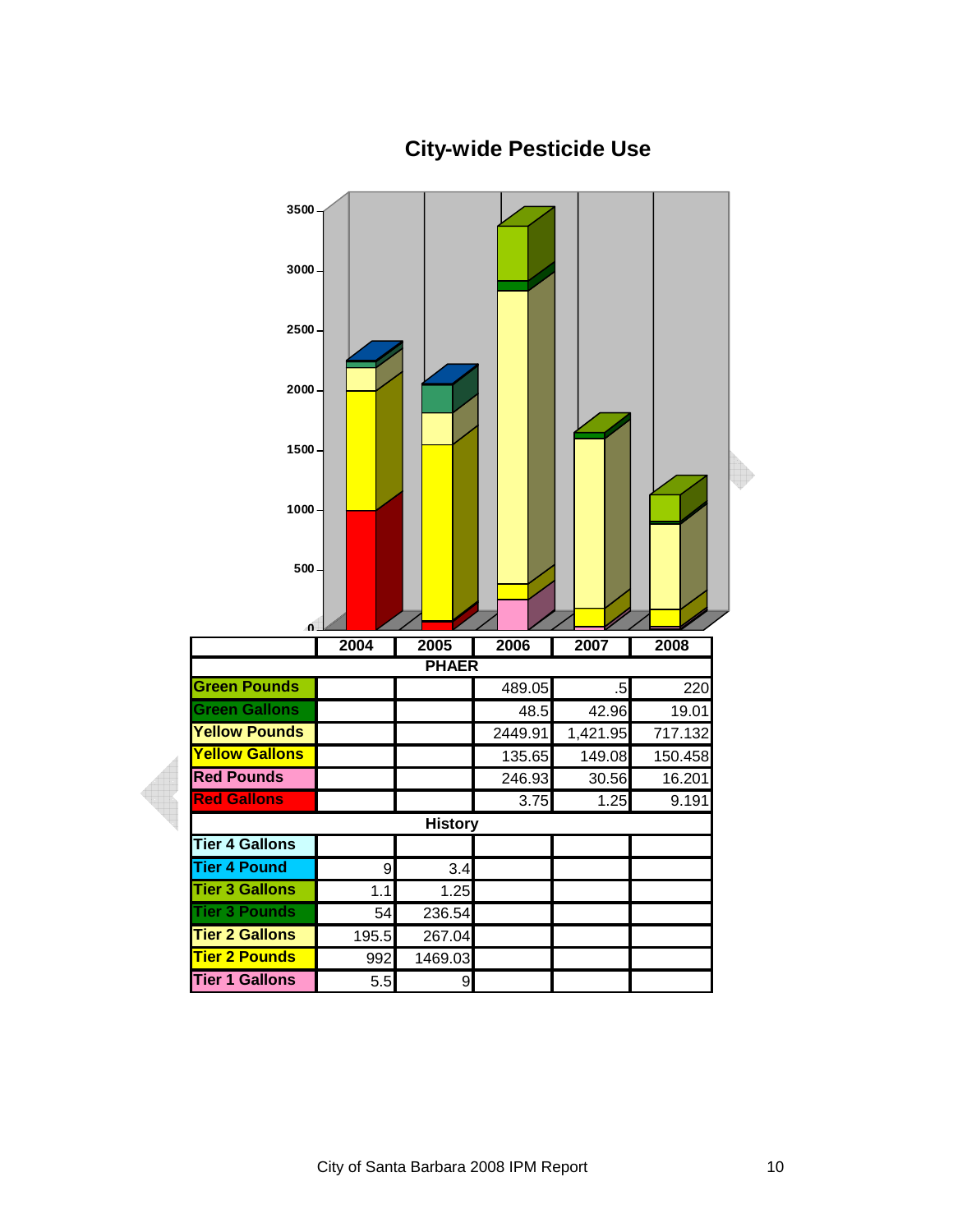

**City-wide Pesticide Use**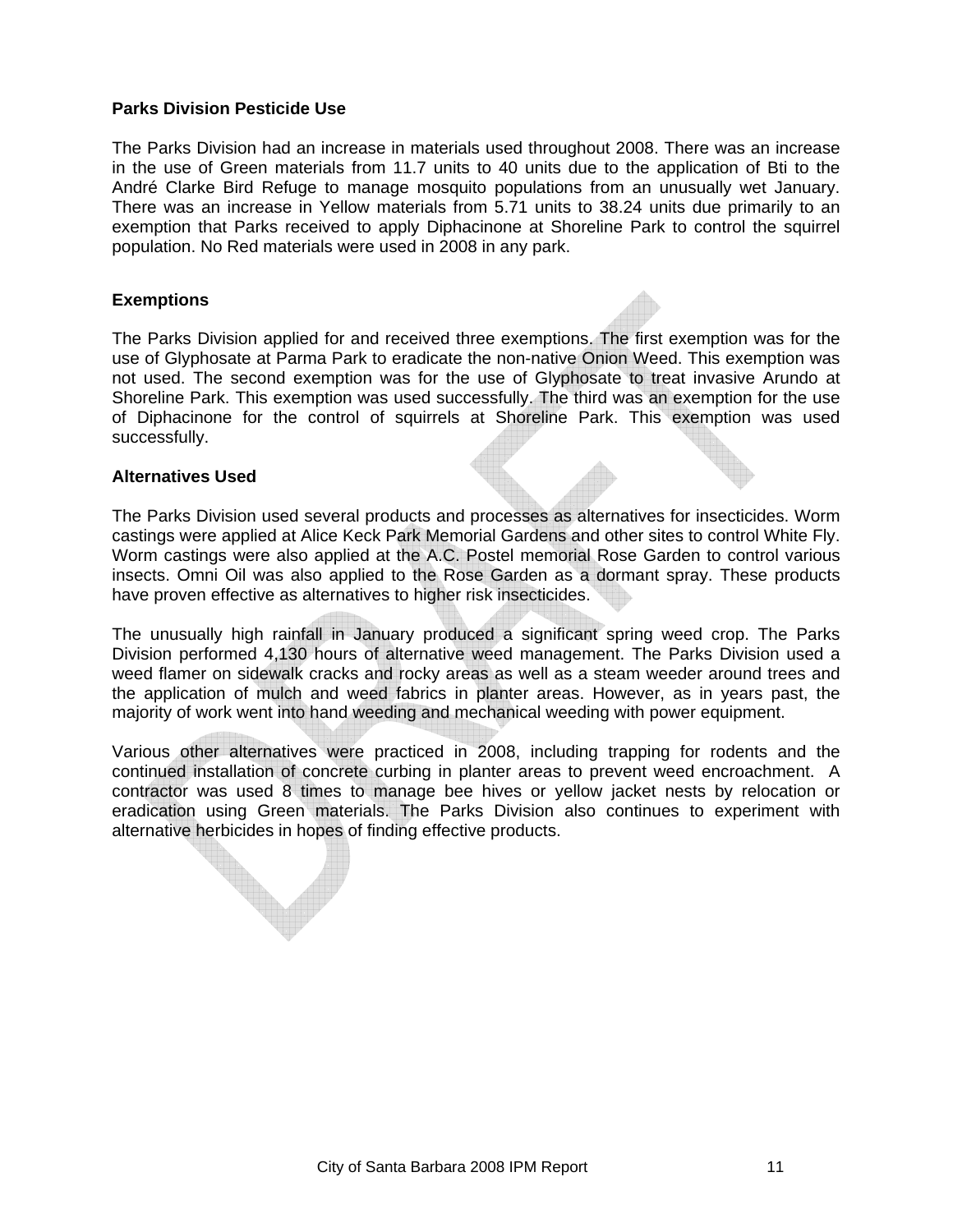#### **Parks Division Pesticide Use**

The Parks Division had an increase in materials used throughout 2008. There was an increase in the use of Green materials from 11.7 units to 40 units due to the application of Bti to the André Clarke Bird Refuge to manage mosquito populations from an unusually wet January. There was an increase in Yellow materials from 5.71 units to 38.24 units due primarily to an exemption that Parks received to apply Diphacinone at Shoreline Park to control the squirrel population. No Red materials were used in 2008 in any park.

#### **Exemptions**

The Parks Division applied for and received three exemptions. The first exemption was for the use of Glyphosate at Parma Park to eradicate the non-native Onion Weed. This exemption was not used. The second exemption was for the use of Glyphosate to treat invasive Arundo at Shoreline Park. This exemption was used successfully. The third was an exemption for the use of Diphacinone for the control of squirrels at Shoreline Park. This exemption was used successfully.

#### **Alternatives Used**

The Parks Division used several products and processes as alternatives for insecticides. Worm castings were applied at Alice Keck Park Memorial Gardens and other sites to control White Fly. Worm castings were also applied at the A.C. Postel memorial Rose Garden to control various insects. Omni Oil was also applied to the Rose Garden as a dormant spray. These products have proven effective as alternatives to higher risk insecticides.

The unusually high rainfall in January produced a significant spring weed crop. The Parks Division performed 4,130 hours of alternative weed management. The Parks Division used a weed flamer on sidewalk cracks and rocky areas as well as a steam weeder around trees and the application of mulch and weed fabrics in planter areas. However, as in years past, the majority of work went into hand weeding and mechanical weeding with power equipment.

Various other alternatives were practiced in 2008, including trapping for rodents and the continued installation of concrete curbing in planter areas to prevent weed encroachment. A contractor was used 8 times to manage bee hives or yellow jacket nests by relocation or eradication using Green materials. The Parks Division also continues to experiment with alternative herbicides in hopes of finding effective products.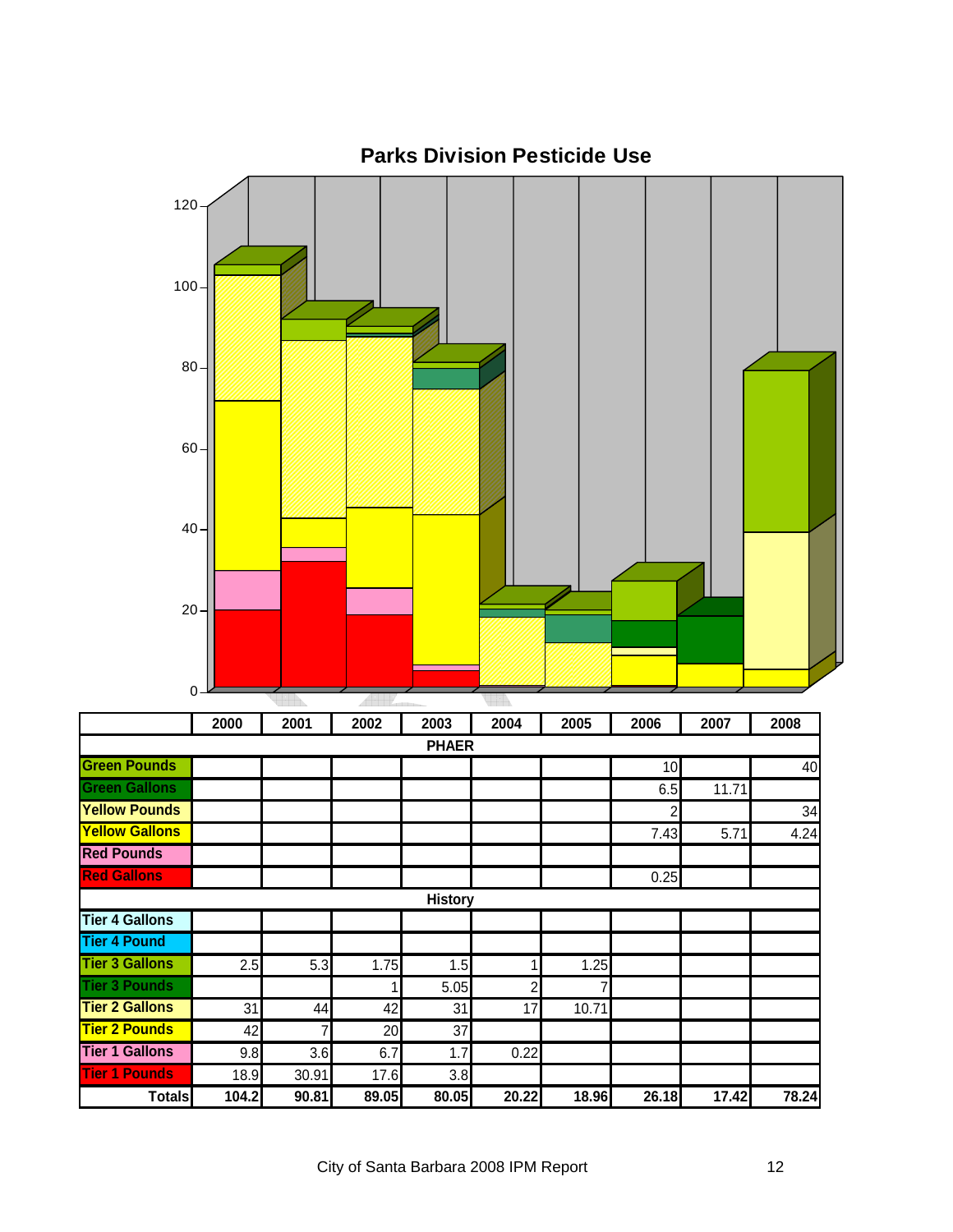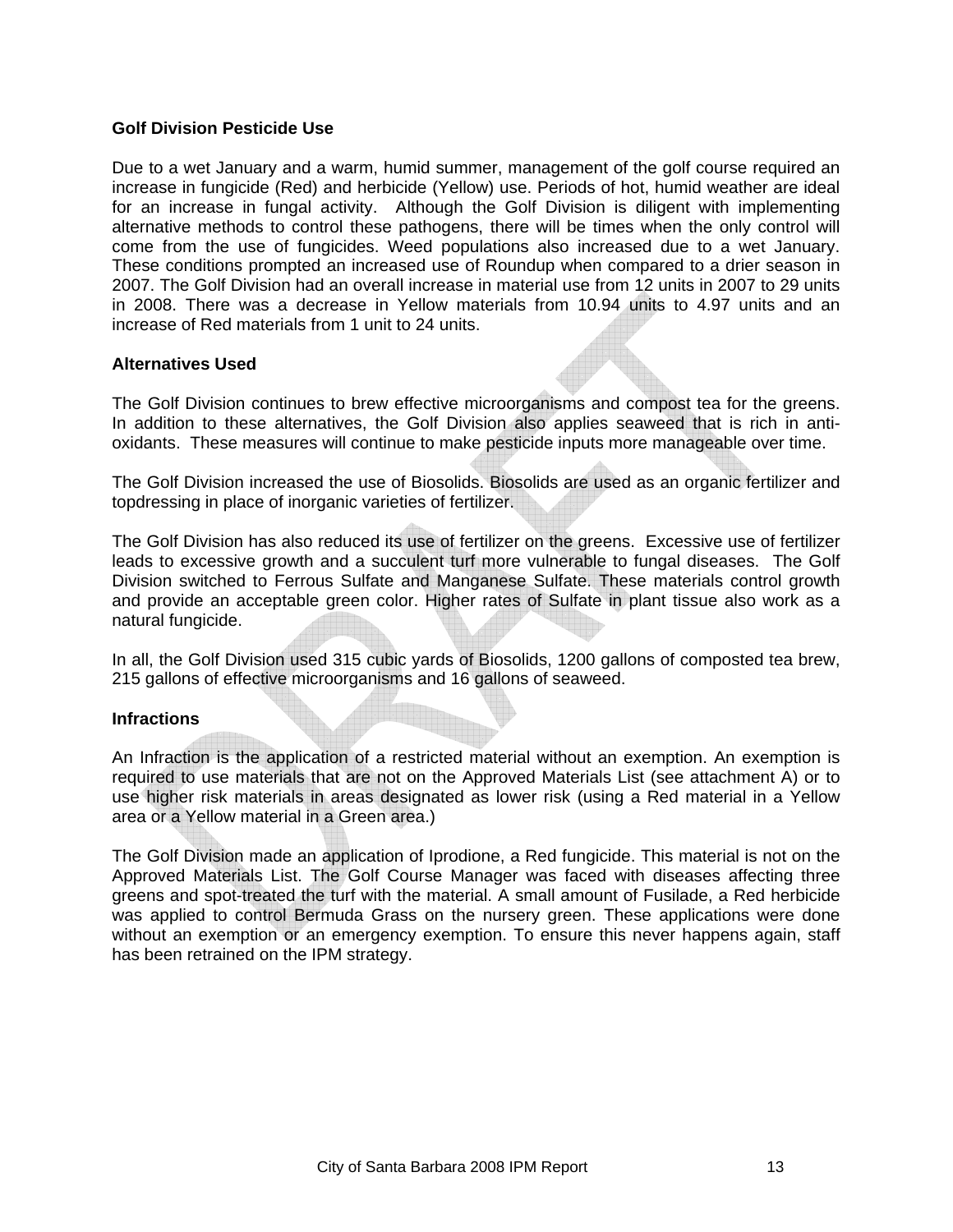#### **Golf Division Pesticide Use**

Due to a wet January and a warm, humid summer, management of the golf course required an increase in fungicide (Red) and herbicide (Yellow) use. Periods of hot, humid weather are ideal for an increase in fungal activity. Although the Golf Division is diligent with implementing alternative methods to control these pathogens, there will be times when the only control will come from the use of fungicides. Weed populations also increased due to a wet January. These conditions prompted an increased use of Roundup when compared to a drier season in 2007. The Golf Division had an overall increase in material use from 12 units in 2007 to 29 units in 2008. There was a decrease in Yellow materials from 10.94 units to 4.97 units and an increase of Red materials from 1 unit to 24 units.

#### **Alternatives Used**

The Golf Division continues to brew effective microorganisms and compost tea for the greens. In addition to these alternatives, the Golf Division also applies seaweed that is rich in antioxidants. These measures will continue to make pesticide inputs more manageable over time.

The Golf Division increased the use of Biosolids. Biosolids are used as an organic fertilizer and topdressing in place of inorganic varieties of fertilizer.

The Golf Division has also reduced its use of fertilizer on the greens. Excessive use of fertilizer leads to excessive growth and a succulent turf more vulnerable to fungal diseases. The Golf Division switched to Ferrous Sulfate and Manganese Sulfate. These materials control growth and provide an acceptable green color. Higher rates of Sulfate in plant tissue also work as a natural fungicide.

In all, the Golf Division used 315 cubic yards of Biosolids, 1200 gallons of composted tea brew, 215 gallons of effective microorganisms and 16 gallons of seaweed.

#### **Infractions**

An Infraction is the application of a restricted material without an exemption. An exemption is required to use materials that are not on the Approved Materials List (see attachment A) or to use higher risk materials in areas designated as lower risk (using a Red material in a Yellow area or a Yellow material in a Green area.)

The Golf Division made an application of Iprodione, a Red fungicide. This material is not on the Approved Materials List. The Golf Course Manager was faced with diseases affecting three greens and spot-treated the turf with the material. A small amount of Fusilade, a Red herbicide was applied to control Bermuda Grass on the nursery green. These applications were done without an exemption or an emergency exemption. To ensure this never happens again, staff has been retrained on the IPM strategy.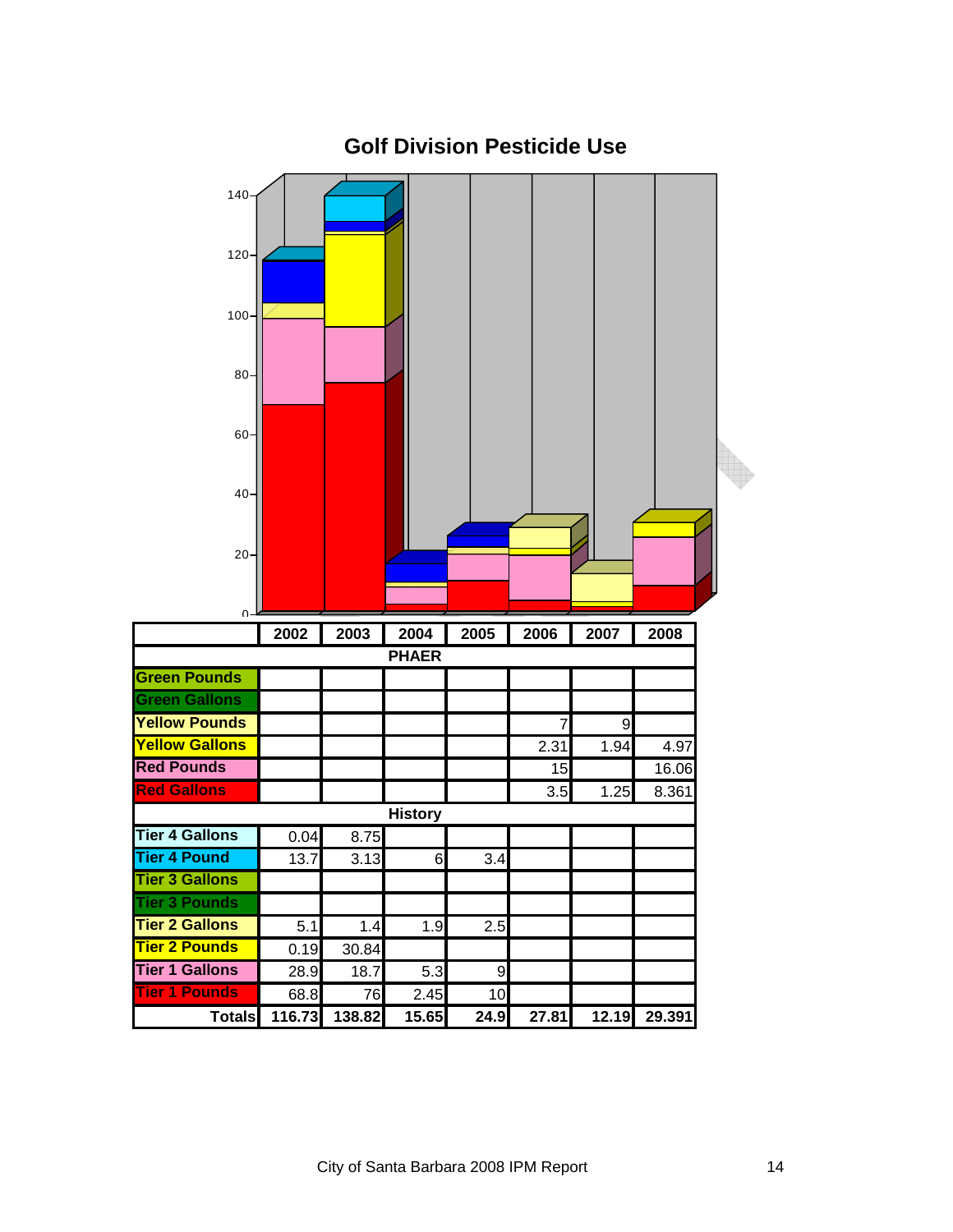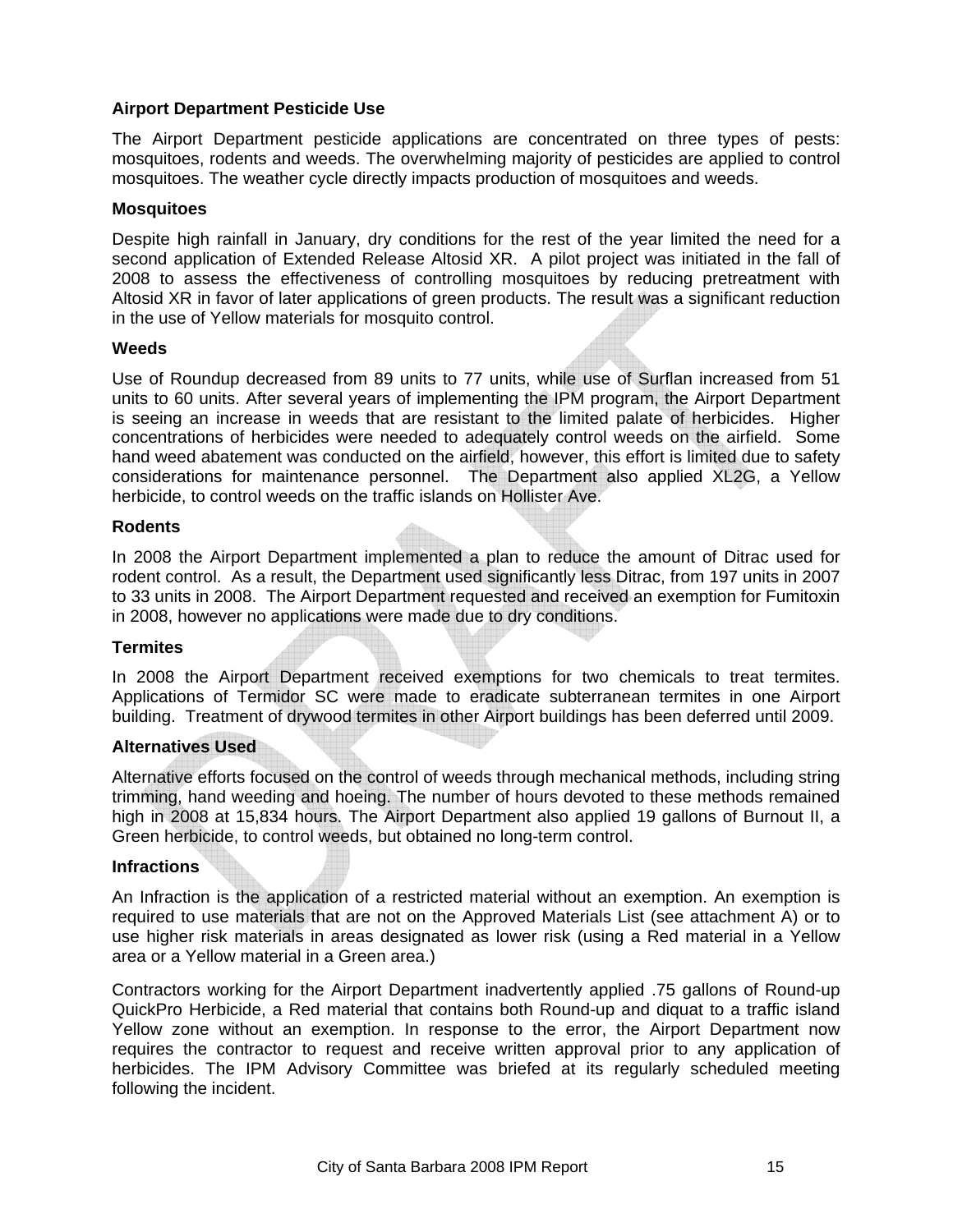#### **Airport Department Pesticide Use**

The Airport Department pesticide applications are concentrated on three types of pests: mosquitoes, rodents and weeds. The overwhelming majority of pesticides are applied to control mosquitoes. The weather cycle directly impacts production of mosquitoes and weeds.

#### **Mosquitoes**

Despite high rainfall in January, dry conditions for the rest of the year limited the need for a second application of Extended Release Altosid XR. A pilot project was initiated in the fall of 2008 to assess the effectiveness of controlling mosquitoes by reducing pretreatment with Altosid XR in favor of later applications of green products. The result was a significant reduction in the use of Yellow materials for mosquito control.

#### **Weeds**

Use of Roundup decreased from 89 units to 77 units, while use of Surflan increased from 51 units to 60 units. After several years of implementing the IPM program, the Airport Department is seeing an increase in weeds that are resistant to the limited palate of herbicides. Higher concentrations of herbicides were needed to adequately control weeds on the airfield. Some hand weed abatement was conducted on the airfield, however, this effort is limited due to safety considerations for maintenance personnel. The Department also applied XL2G, a Yellow herbicide, to control weeds on the traffic islands on Hollister Ave.

#### **Rodents**

In 2008 the Airport Department implemented a plan to reduce the amount of Ditrac used for rodent control. As a result, the Department used significantly less Ditrac, from 197 units in 2007 to 33 units in 2008. The Airport Department requested and received an exemption for Fumitoxin in 2008, however no applications were made due to dry conditions.

#### **Termites**

In 2008 the Airport Department received exemptions for two chemicals to treat termites. Applications of Termidor SC were made to eradicate subterranean termites in one Airport building. Treatment of drywood termites in other Airport buildings has been deferred until 2009.

#### **Alternatives Used**

Alternative efforts focused on the control of weeds through mechanical methods, including string trimming, hand weeding and hoeing. The number of hours devoted to these methods remained high in 2008 at 15,834 hours. The Airport Department also applied 19 gallons of Burnout II, a Green herbicide, to control weeds, but obtained no long-term control.

#### **Infractions**

An Infraction is the application of a restricted material without an exemption. An exemption is required to use materials that are not on the Approved Materials List (see attachment A) or to use higher risk materials in areas designated as lower risk (using a Red material in a Yellow area or a Yellow material in a Green area.)

Contractors working for the Airport Department inadvertently applied .75 gallons of Round-up QuickPro Herbicide, a Red material that contains both Round-up and diquat to a traffic island Yellow zone without an exemption. In response to the error, the Airport Department now requires the contractor to request and receive written approval prior to any application of herbicides. The IPM Advisory Committee was briefed at its regularly scheduled meeting following the incident.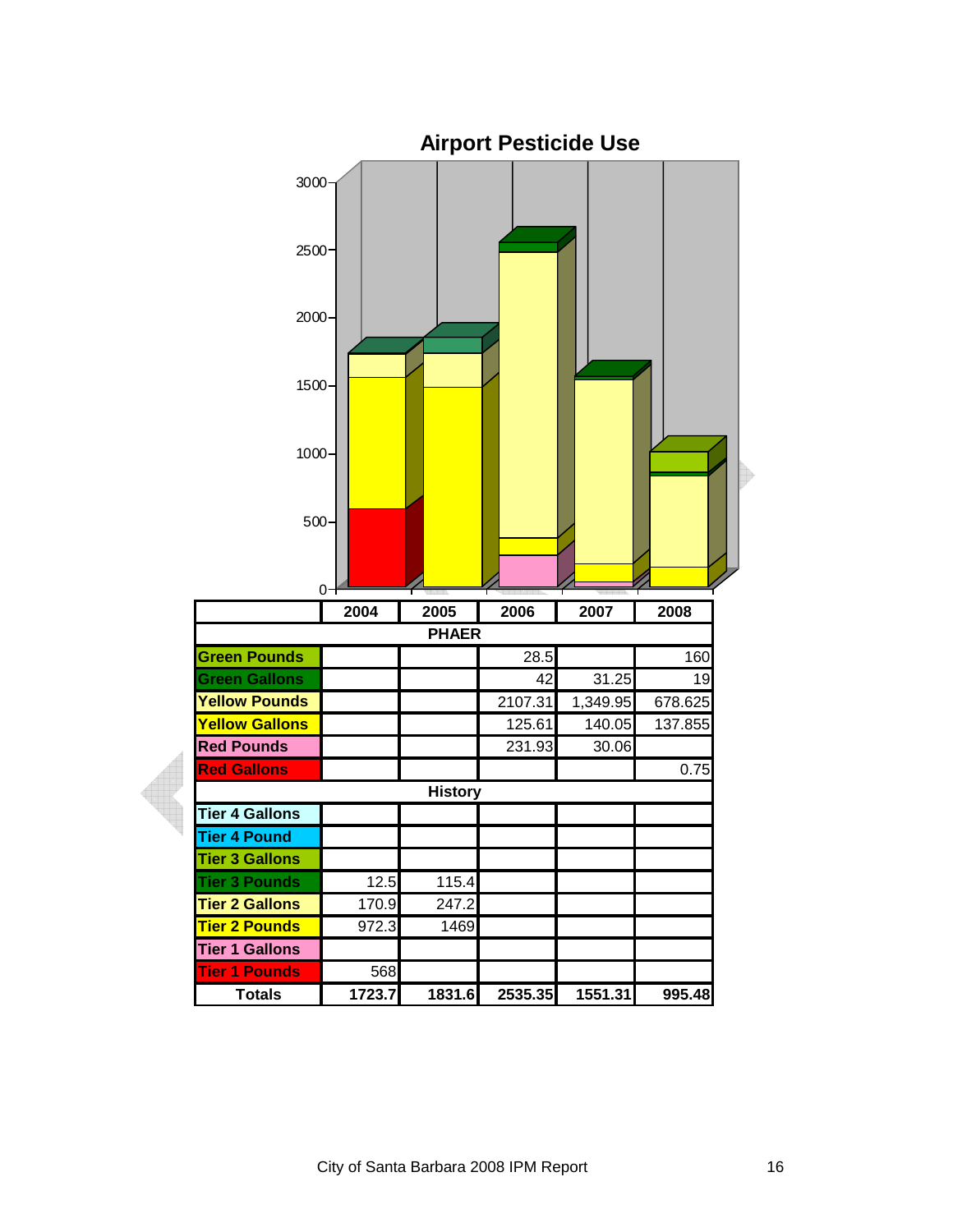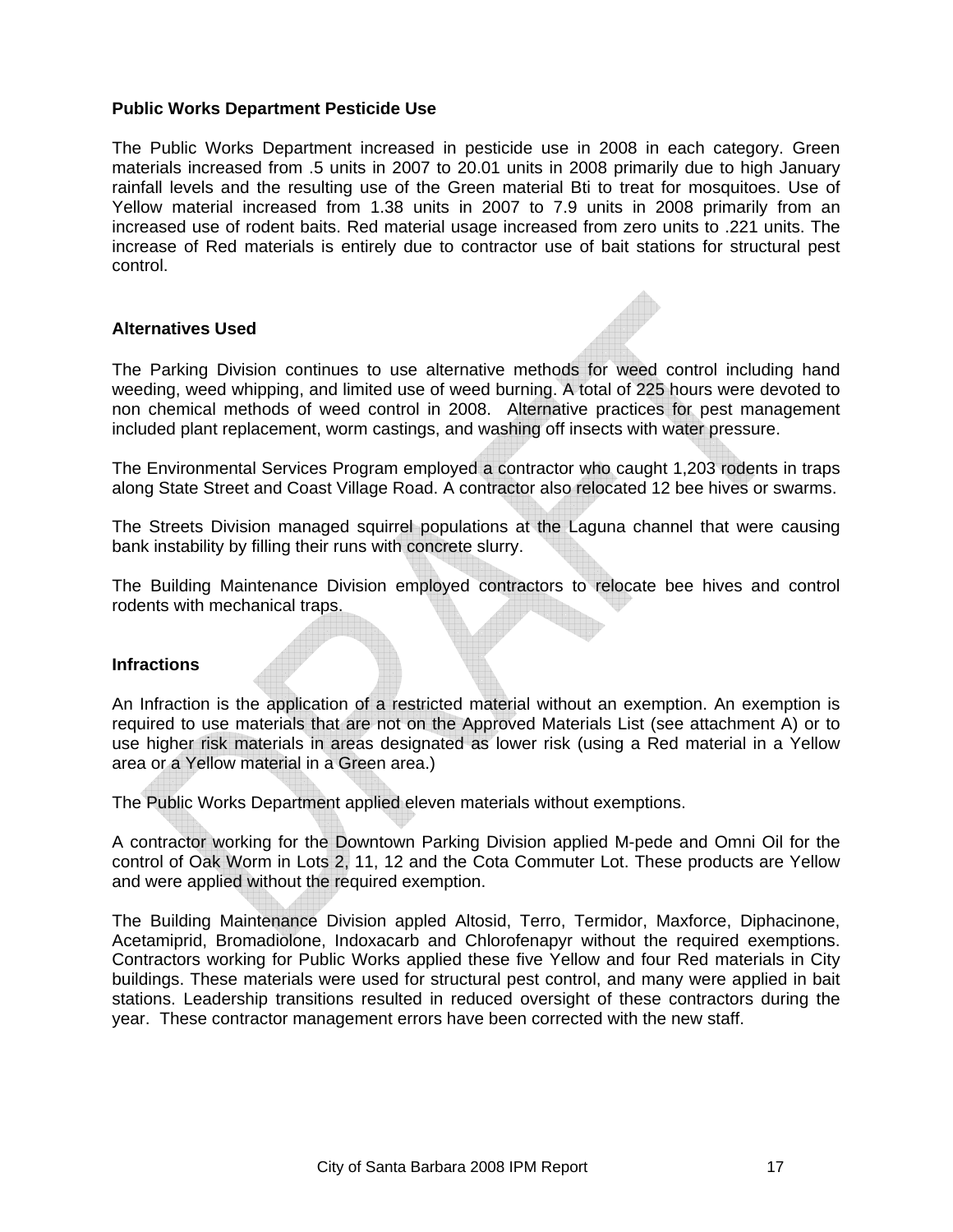#### **Public Works Department Pesticide Use**

The Public Works Department increased in pesticide use in 2008 in each category. Green materials increased from .5 units in 2007 to 20.01 units in 2008 primarily due to high January rainfall levels and the resulting use of the Green material Bti to treat for mosquitoes. Use of Yellow material increased from 1.38 units in 2007 to 7.9 units in 2008 primarily from an increased use of rodent baits. Red material usage increased from zero units to .221 units. The increase of Red materials is entirely due to contractor use of bait stations for structural pest control.

#### **Alternatives Used**

The Parking Division continues to use alternative methods for weed control including hand weeding, weed whipping, and limited use of weed burning. A total of 225 hours were devoted to non chemical methods of weed control in 2008. Alternative practices for pest management included plant replacement, worm castings, and washing off insects with water pressure.

The Environmental Services Program employed a contractor who caught 1,203 rodents in traps along State Street and Coast Village Road. A contractor also relocated 12 bee hives or swarms.

The Streets Division managed squirrel populations at the Laguna channel that were causing bank instability by filling their runs with concrete slurry.

The Building Maintenance Division employed contractors to relocate bee hives and control rodents with mechanical traps.

#### **Infractions**

An Infraction is the application of a restricted material without an exemption. An exemption is required to use materials that are not on the Approved Materials List (see attachment A) or to use higher risk materials in areas designated as lower risk (using a Red material in a Yellow area or a Yellow material in a Green area.)

The Public Works Department applied eleven materials without exemptions.

A contractor working for the Downtown Parking Division applied M-pede and Omni Oil for the control of Oak Worm in Lots 2, 11, 12 and the Cota Commuter Lot. These products are Yellow and were applied without the required exemption.

The Building Maintenance Division appled Altosid, Terro, Termidor, Maxforce, Diphacinone, Acetamiprid, Bromadiolone, Indoxacarb and Chlorofenapyr without the required exemptions. Contractors working for Public Works applied these five Yellow and four Red materials in City buildings. These materials were used for structural pest control, and many were applied in bait stations. Leadership transitions resulted in reduced oversight of these contractors during the year. These contractor management errors have been corrected with the new staff.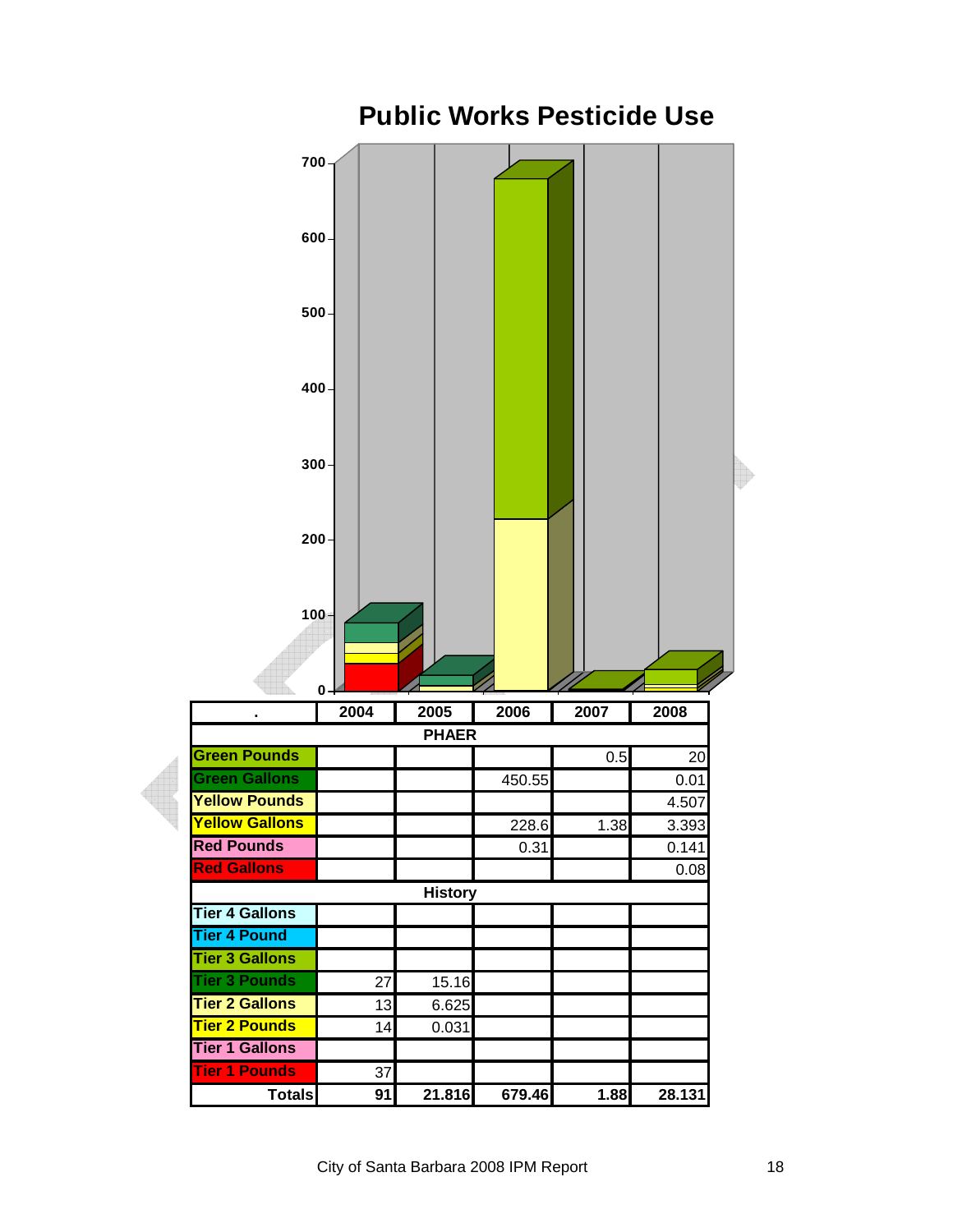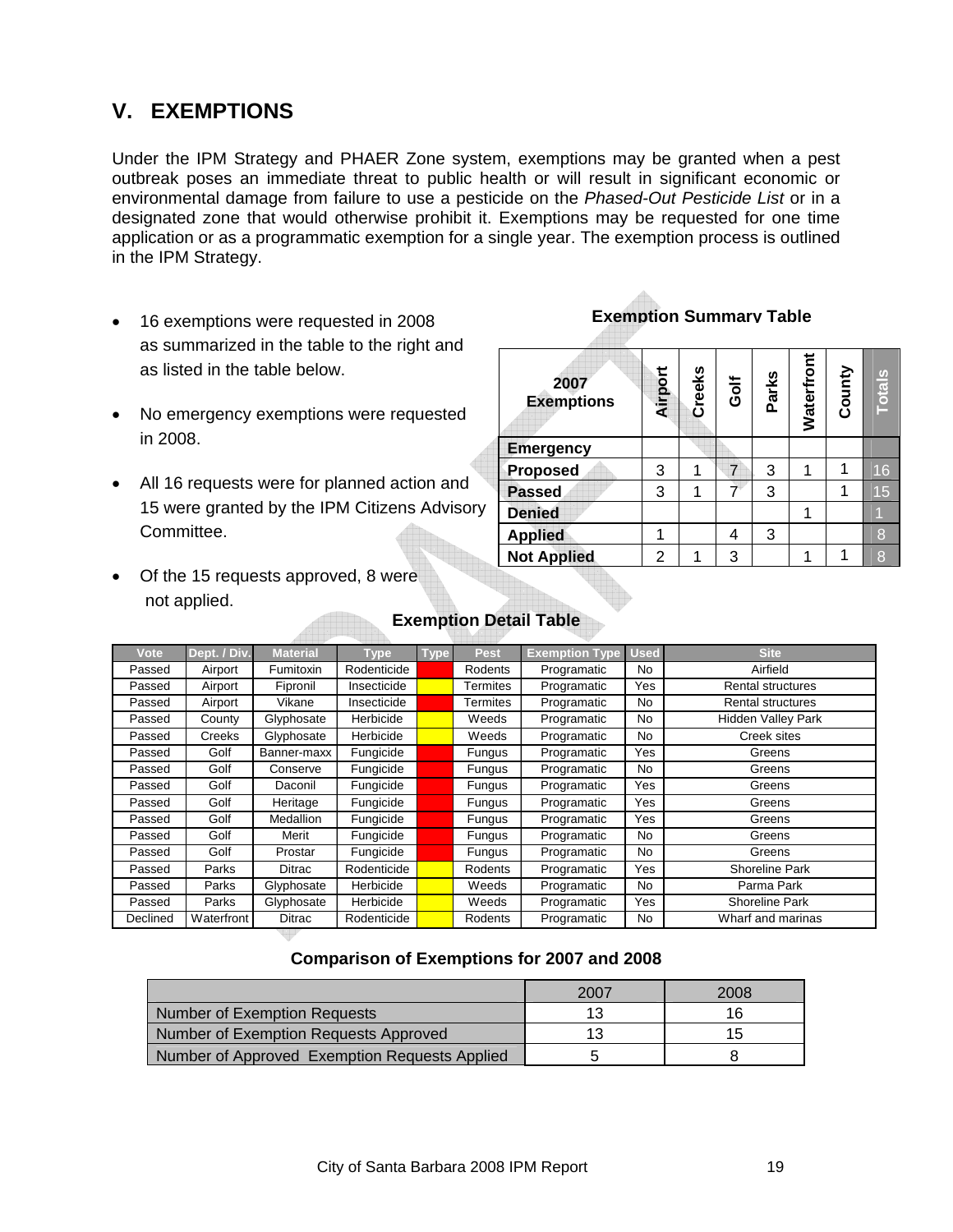### **V. EXEMPTIONS**

Under the IPM Strategy and PHAER Zone system, exemptions may be granted when a pest outbreak poses an immediate threat to public health or will result in significant economic or environmental damage from failure to use a pesticide on the *Phased-Out Pesticide List* or in a designated zone that would otherwise prohibit it. Exemptions may be requested for one time application or as a programmatic exemption for a single year. The exemption process is outlined in the IPM Strategy.

- 16 exemptions were requested in 2008 as summarized in the table to the right and as listed in the table below.
- No emergency exemptions were requested in 2008.
- All 16 requests were for planned action and 15 were granted by the IPM Citizens Advisory Committee.
- Of the 15 requests approved, 8 were not applied.

#### **Exemption Summary Table**

| 2007<br><b>Exemptions</b> | Airport | Creeks | Golf           | Parks | Waterfront | County | <b>Totals</b> |
|---------------------------|---------|--------|----------------|-------|------------|--------|---------------|
| <b>Emergency</b>          |         |        |                |       |            |        |               |
| <b>Proposed</b>           | 3       |        | $\overline{7}$ | 3     |            |        | 16            |
| <b>Passed</b>             | 3       |        | 7              | 3     |            |        | 15            |
| <b>Denied</b>             |         |        |                |       |            |        |               |
| <b>Applied</b>            | 1       |        | 4              | 3     |            |        | 8             |
| <b>Not Applied</b>        | 2       |        | 3              |       |            |        | 8             |

## **Exemption Detail Table**

| Vote     | Dept. / Div. | Material         | Type,       | <b>Type</b> | Pest          | <b>Exemption Type</b> | <b>Used</b> | <b>Site</b>               |
|----------|--------------|------------------|-------------|-------------|---------------|-----------------------|-------------|---------------------------|
| Passed   | Airport      | Fumitoxin        | Rodenticide |             | Rodents       | Programatic           | No          | Airfield                  |
| Passed   | Airport      | Fipronil         | Insecticide |             | Termites      | Programatic           | Yes         | <b>Rental structures</b>  |
| Passed   | Airport      | Vikane           | Insecticide |             | Termites      | Programatic           | <b>No</b>   | <b>Rental structures</b>  |
| Passed   | County       | Glyphosate       | Herbicide   |             | Weeds         | Programatic           | No          | <b>Hidden Valley Park</b> |
| Passed   | Creeks       | Glyphosate       | Herbicide   |             | Weeds         | Programatic           | No          | Creek sites               |
| Passed   | Golf         | Banner-maxx      | Fungicide   |             | Fungus        | Programatic           | Yes         | Greens                    |
| Passed   | Golf         | Conserve         | Fungicide   |             | Fungus        | Programatic           | No          | Greens                    |
| Passed   | Golf         | Daconil          | Fungicide   |             | Fungus        | Programatic           | Yes         | Greens                    |
| Passed   | Golf         | Heritage         | Fungicide   |             | Fungus        | Programatic           | Yes         | Greens                    |
| Passed   | Golf         | <b>Medallion</b> | Fungicide   |             | <b>Fungus</b> | Programatic           | Yes         | Greens                    |
| Passed   | Golf         | Merit            | Fungicide   |             | <b>Fungus</b> | Programatic           | No          | Greens                    |
| Passed   | Golf         | Prostar          | Fungicide   |             | Fungus        | Programatic           | No.         | Greens                    |
| Passed   | Parks        | Ditrac           | Rodenticide |             | Rodents       | Programatic           | Yes         | <b>Shoreline Park</b>     |
| Passed   | Parks        | Glyphosate       | Herbicide   |             | Weeds         | Programatic           | <b>No</b>   | Parma Park                |
| Passed   | Parks        | Glyphosate       | Herbicide   |             | Weeds         | Programatic           | Yes         | <b>Shoreline Park</b>     |
| Declined | Waterfront   | <b>Ditrac</b>    | Rodenticide |             | Rodents       | Programatic           | <b>No</b>   | Wharf and marinas         |

#### **Comparison of Exemptions for 2007 and 2008**

|                                               | 2007 | 2008 |
|-----------------------------------------------|------|------|
| Number of Exemption Requests                  | 13   | 16   |
| Number of Exemption Requests Approved         |      | 15.  |
| Number of Approved Exemption Requests Applied |      |      |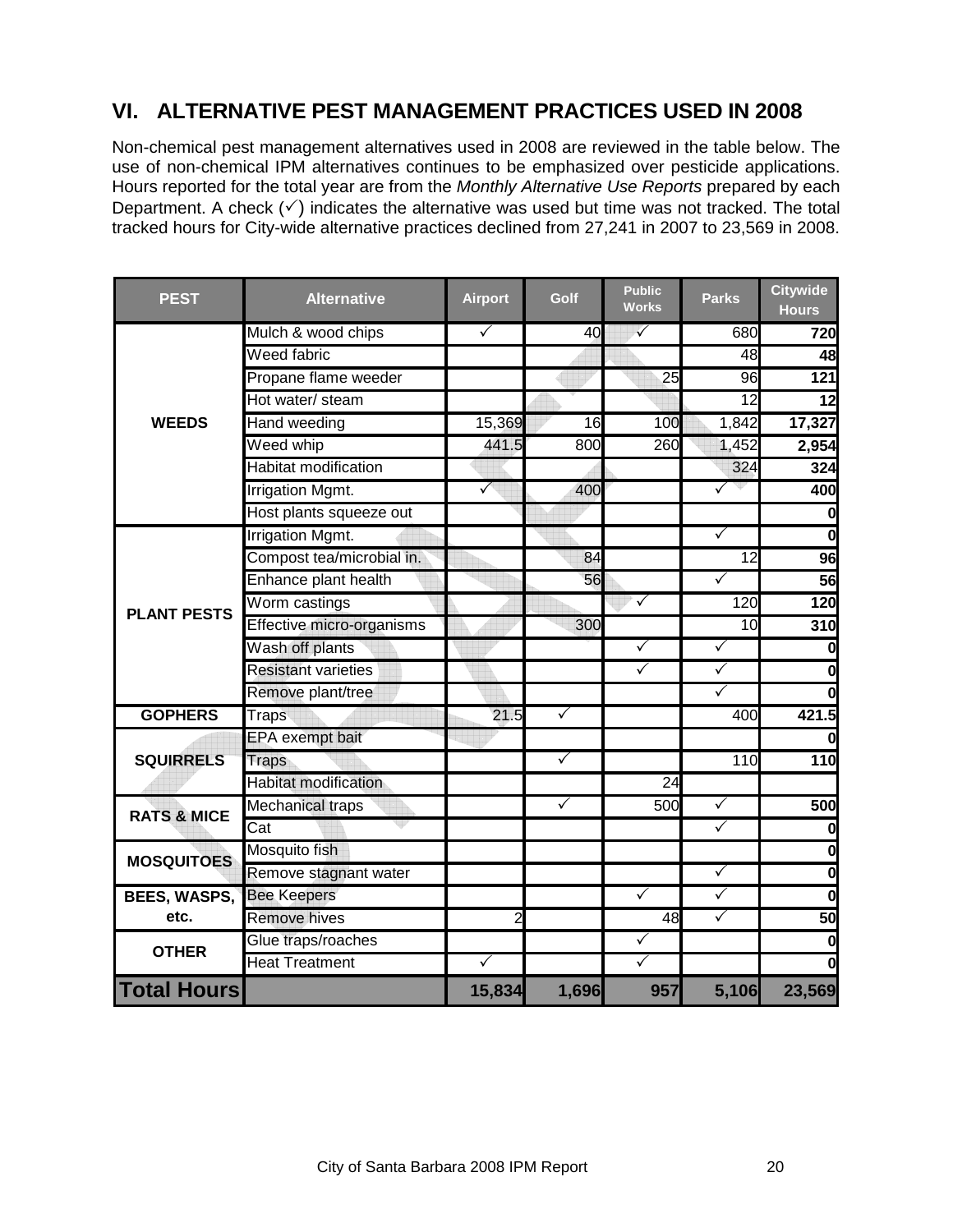### **VI. ALTERNATIVE PEST MANAGEMENT PRACTICES USED IN 2008**

Non-chemical pest management alternatives used in 2008 are reviewed in the table below. The use of non-chemical IPM alternatives continues to be emphasized over pesticide applications. Hours reported for the total year are from the *Monthly Alternative Use Reports* prepared by each Department. A check  $(\checkmark)$  indicates the alternative was used but time was not tracked. The total tracked hours for City-wide alternative practices declined from 27,241 in 2007 to 23,569 in 2008.

| <b>PEST</b>            | <b>Alternative</b>          | <b>Airport</b> | Golf         | <b>Public</b><br><b>Works</b> | <b>Parks</b>     | <b>Citywide</b><br><b>Hours</b> |
|------------------------|-----------------------------|----------------|--------------|-------------------------------|------------------|---------------------------------|
|                        | Mulch & wood chips          | ✓              | 40           | $\checkmark$                  | 680              | 720                             |
|                        | Weed fabric                 |                |              |                               | 48               | 48                              |
|                        | Propane flame weeder        |                |              | $\overline{25}$               | 96               | $\overline{121}$                |
|                        | Hot water/steam             |                |              |                               | $\overline{12}$  | $\overline{12}$                 |
| <b>WEEDS</b>           | <b>Hand weeding</b>         | 15,369         | 16           | 100                           | 1,842            | 17,327                          |
|                        | Weed whip                   | 441.5          | 800          | 260                           | 1,452            | 2,954                           |
|                        | <b>Habitat modification</b> |                |              |                               | 324              | 324                             |
|                        | <b>Irrigation Mgmt.</b>     | $\sqrt{}$      | 400          |                               | $\sqrt{}$        | 400                             |
|                        | Host plants squeeze out     |                |              |                               |                  | 0                               |
|                        | <b>Irrigation Mgmt.</b>     |                |              |                               | $\checkmark$     | $\boldsymbol{0}$                |
|                        | Compost tea/microbial in.   |                | 84           |                               | $\overline{12}$  | 96                              |
|                        | Enhance plant health        |                | 56           |                               | $\checkmark$     | 56                              |
| <b>PLANT PESTS</b>     | Worm castings               |                |              | $\checkmark$                  | $\overline{120}$ | 120                             |
|                        | Effective micro-organisms   |                | 300          |                               | $\overline{10}$  | 310                             |
|                        | Wash off plants             |                |              | $\checkmark$                  | $\checkmark$     | 0                               |
|                        | <b>Resistant varieties</b>  |                |              | $\checkmark$                  | $\checkmark$     | 0                               |
|                        | Remove plant/tree           |                |              |                               | $\checkmark$     | O                               |
| <b>GOPHERS</b>         | <b>Traps</b>                | 21.5           | $\checkmark$ |                               | 400              | 421.5                           |
|                        | <b>EPA</b> exempt bait      |                |              |                               |                  |                                 |
| <b>SQUIRRELS</b>       | <b>Traps</b>                |                | $\checkmark$ |                               | 110              | 110                             |
|                        | <b>Habitat modification</b> |                |              | $\overline{24}$               |                  |                                 |
| <b>RATS &amp; MICE</b> | Mechanical traps            |                | $\checkmark$ | $\overline{500}$              | $\checkmark$     | 500                             |
|                        | $\overline{\text{Cat}}$     |                |              |                               | $\checkmark$     | 0                               |
| <b>MOSQUITOES</b>      | Mosquito fish               |                |              |                               |                  | 0                               |
|                        | Remove stagnant water       |                |              |                               | ✓                | $\boldsymbol{0}$                |
| <b>BEES, WASPS,</b>    | <b>Bee Keepers</b>          |                |              | $\checkmark$                  | $\checkmark$     | 0                               |
| etc.                   | <b>Remove hives</b>         | $\overline{c}$ |              | 48                            | $\checkmark$     | 50                              |
|                        | Glue traps/roaches          |                |              | $\checkmark$                  |                  | 0                               |
| <b>OTHER</b>           | <b>Heat Treatment</b>       | $\checkmark$   |              | $\checkmark$                  |                  | O                               |
| <b>Total Hours</b>     |                             | 15,834         | 1,696        | 957                           | 5,106            | 23,569                          |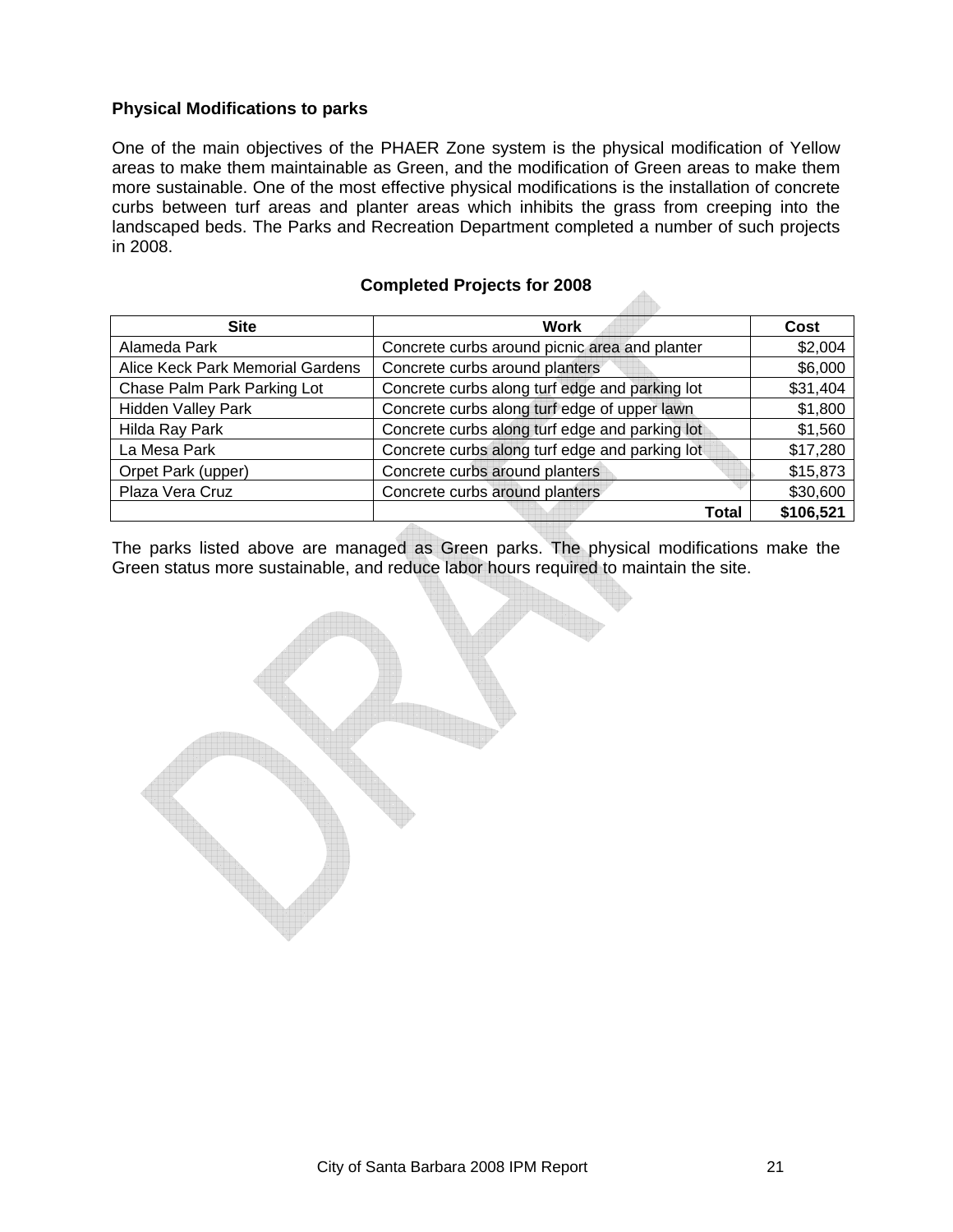#### **Physical Modifications to parks**

One of the main objectives of the PHAER Zone system is the physical modification of Yellow areas to make them maintainable as Green, and the modification of Green areas to make them more sustainable. One of the most effective physical modifications is the installation of concrete curbs between turf areas and planter areas which inhibits the grass from creeping into the landscaped beds. The Parks and Recreation Department completed a number of such projects in 2008.

|  | <b>Completed Projects for 2008</b> |
|--|------------------------------------|
|--|------------------------------------|

| <b>Site</b>                      | Work                                           | Cost      |
|----------------------------------|------------------------------------------------|-----------|
| Alameda Park                     | Concrete curbs around picnic area and planter  | \$2,004   |
| Alice Keck Park Memorial Gardens | Concrete curbs around planters                 | \$6,000   |
| Chase Palm Park Parking Lot      | Concrete curbs along turf edge and parking lot | \$31,404  |
| <b>Hidden Valley Park</b>        | Concrete curbs along turf edge of upper lawn   | \$1,800   |
| Hilda Ray Park                   | Concrete curbs along turf edge and parking lot | \$1,560   |
| La Mesa Park                     | Concrete curbs along turf edge and parking lot | \$17,280  |
| Orpet Park (upper)               | Concrete curbs around planters                 | \$15,873  |
| Plaza Vera Cruz                  | Concrete curbs around planters                 | \$30,600  |
|                                  | Total                                          | \$106,521 |

The parks listed above are managed as Green parks. The physical modifications make the Green status more sustainable, and reduce labor hours required to maintain the site.

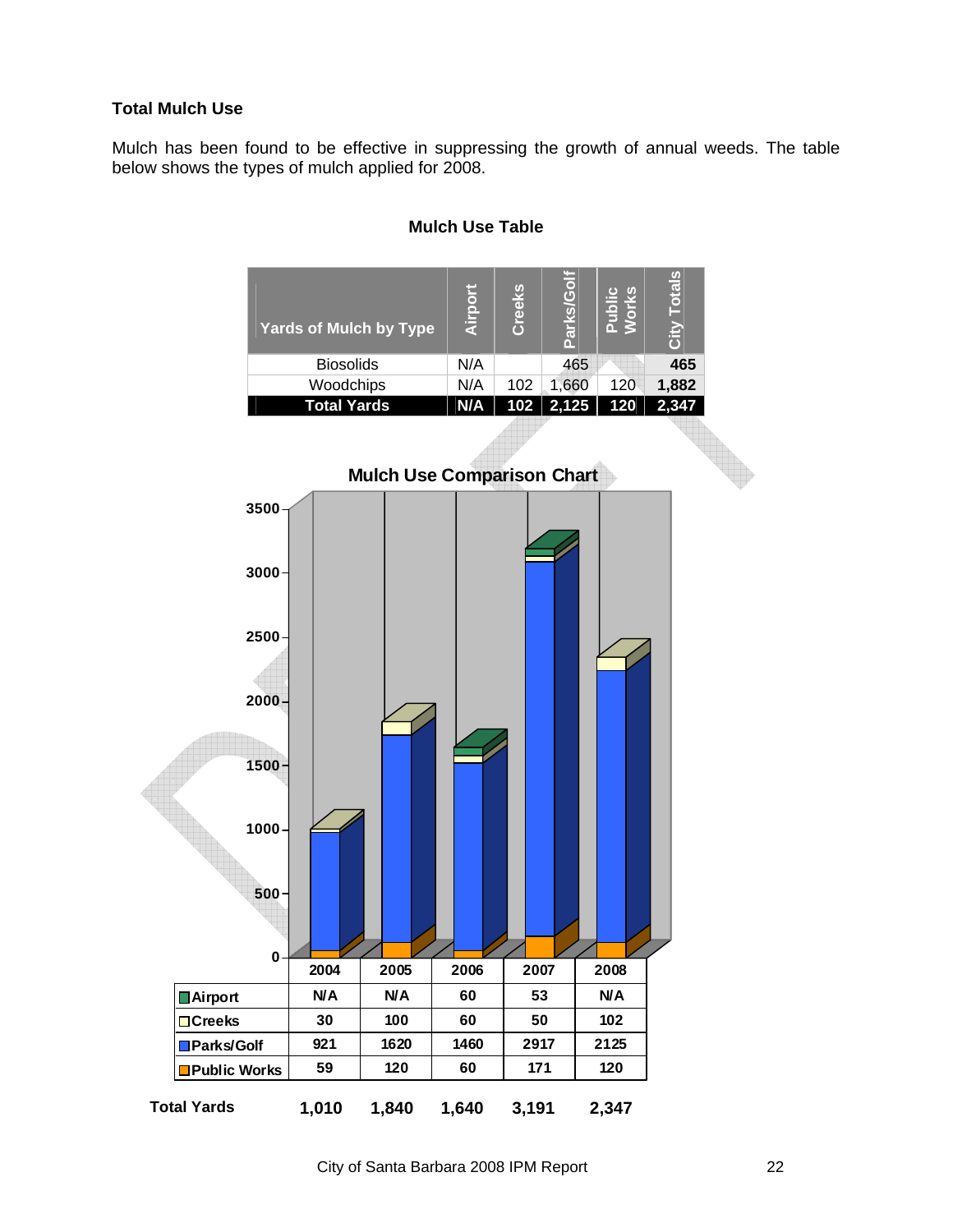#### **Total Mulch Use**

Mulch has been found to be effective in suppressing the growth of annual weeds. The table below shows the types of mulch applied for 2008.



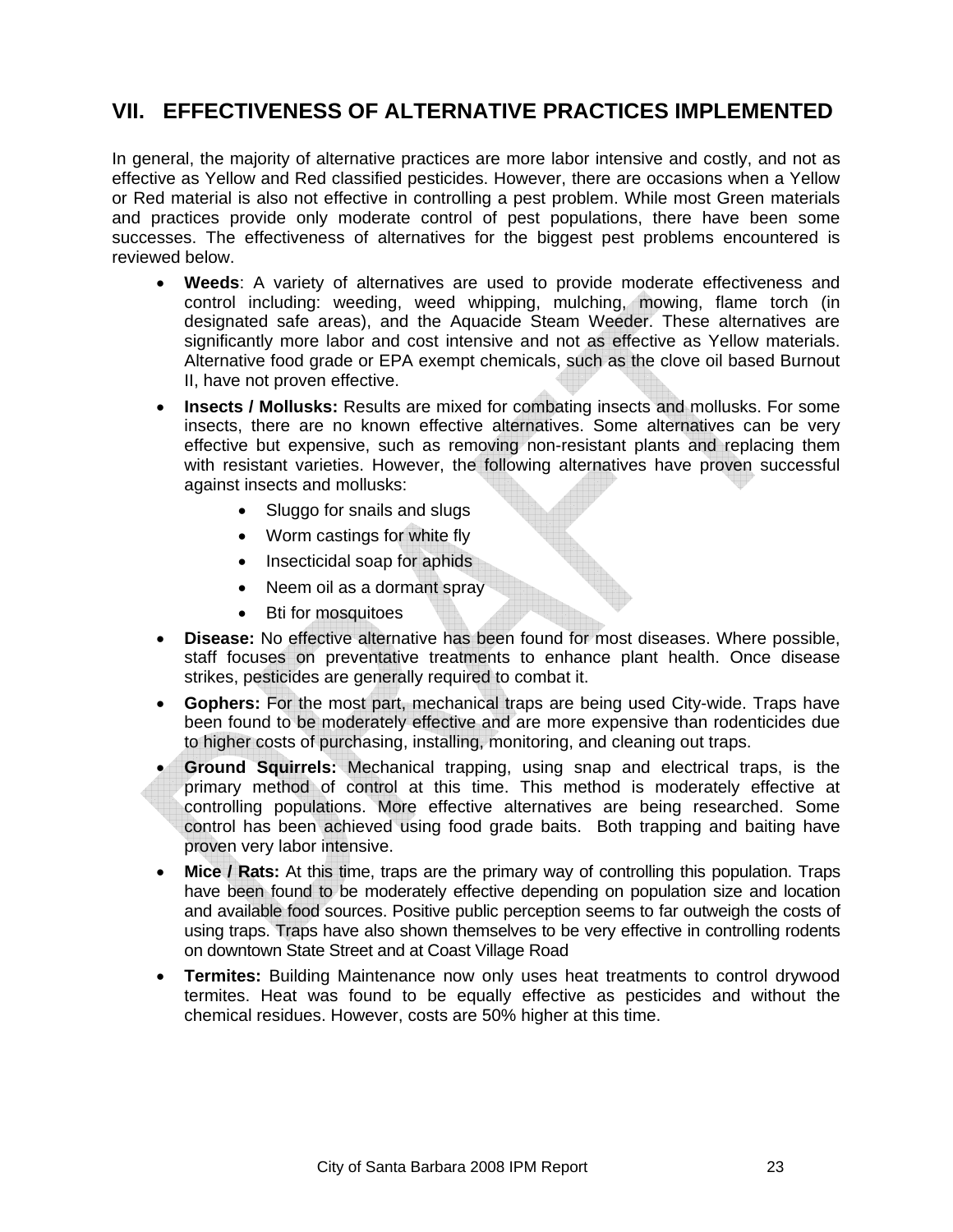### **VII. EFFECTIVENESS OF ALTERNATIVE PRACTICES IMPLEMENTED**

In general, the majority of alternative practices are more labor intensive and costly, and not as effective as Yellow and Red classified pesticides. However, there are occasions when a Yellow or Red material is also not effective in controlling a pest problem. While most Green materials and practices provide only moderate control of pest populations, there have been some successes. The effectiveness of alternatives for the biggest pest problems encountered is reviewed below.

- **Weeds**: A variety of alternatives are used to provide moderate effectiveness and control including: weeding, weed whipping, mulching, mowing, flame torch (in designated safe areas), and the Aquacide Steam Weeder. These alternatives are significantly more labor and cost intensive and not as effective as Yellow materials. Alternative food grade or EPA exempt chemicals, such as the clove oil based Burnout II, have not proven effective.
- **Insects / Mollusks:** Results are mixed for combating insects and mollusks. For some insects, there are no known effective alternatives. Some alternatives can be very effective but expensive, such as removing non-resistant plants and replacing them with resistant varieties. However, the following alternatives have proven successful against insects and mollusks:
	- Sluggo for snails and slugs
	- Worm castings for white fly
	- Insecticidal soap for aphids
	- Neem oil as a dormant spray
	- Bti for mosquitoes
- **Disease:** No effective alternative has been found for most diseases. Where possible, staff focuses on preventative treatments to enhance plant health. Once disease strikes, pesticides are generally required to combat it.
- **Gophers:** For the most part, mechanical traps are being used City-wide. Traps have been found to be moderately effective and are more expensive than rodenticides due to higher costs of purchasing, installing, monitoring, and cleaning out traps.
- **Ground Squirrels:** Mechanical trapping, using snap and electrical traps, is the primary method of control at this time. This method is moderately effective at controlling populations. More effective alternatives are being researched. Some control has been achieved using food grade baits. Both trapping and baiting have proven very labor intensive.
- **Mice / Rats:** At this time, traps are the primary way of controlling this population. Traps have been found to be moderately effective depending on population size and location and available food sources. Positive public perception seems to far outweigh the costs of using traps. Traps have also shown themselves to be very effective in controlling rodents on downtown State Street and at Coast Village Road
- **Termites:** Building Maintenance now only uses heat treatments to control drywood termites. Heat was found to be equally effective as pesticides and without the chemical residues. However, costs are 50% higher at this time.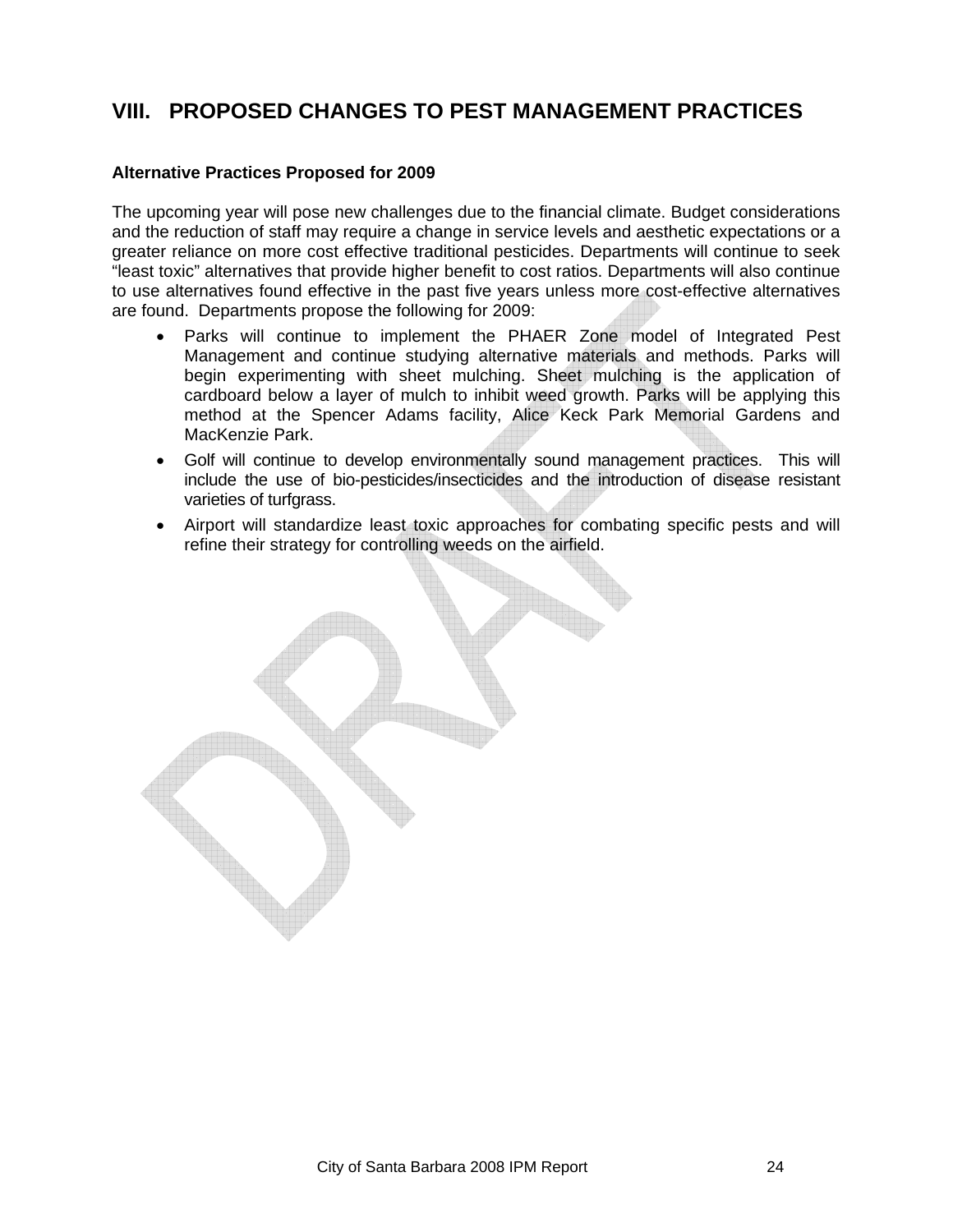### **VIII. PROPOSED CHANGES TO PEST MANAGEMENT PRACTICES**

#### **Alternative Practices Proposed for 2009**

The upcoming year will pose new challenges due to the financial climate. Budget considerations and the reduction of staff may require a change in service levels and aesthetic expectations or a greater reliance on more cost effective traditional pesticides. Departments will continue to seek "least toxic" alternatives that provide higher benefit to cost ratios. Departments will also continue to use alternatives found effective in the past five years unless more cost-effective alternatives are found. Departments propose the following for 2009:

- Parks will continue to implement the PHAER Zone model of Integrated Pest Management and continue studying alternative materials and methods. Parks will begin experimenting with sheet mulching. Sheet mulching is the application of cardboard below a layer of mulch to inhibit weed growth. Parks will be applying this method at the Spencer Adams facility, Alice Keck Park Memorial Gardens and MacKenzie Park.
- Golf will continue to develop environmentally sound management practices. This will include the use of bio-pesticides/insecticides and the introduction of disease resistant varieties of turfgrass.
- Airport will standardize least toxic approaches for combating specific pests and will refine their strategy for controlling weeds on the airfield.

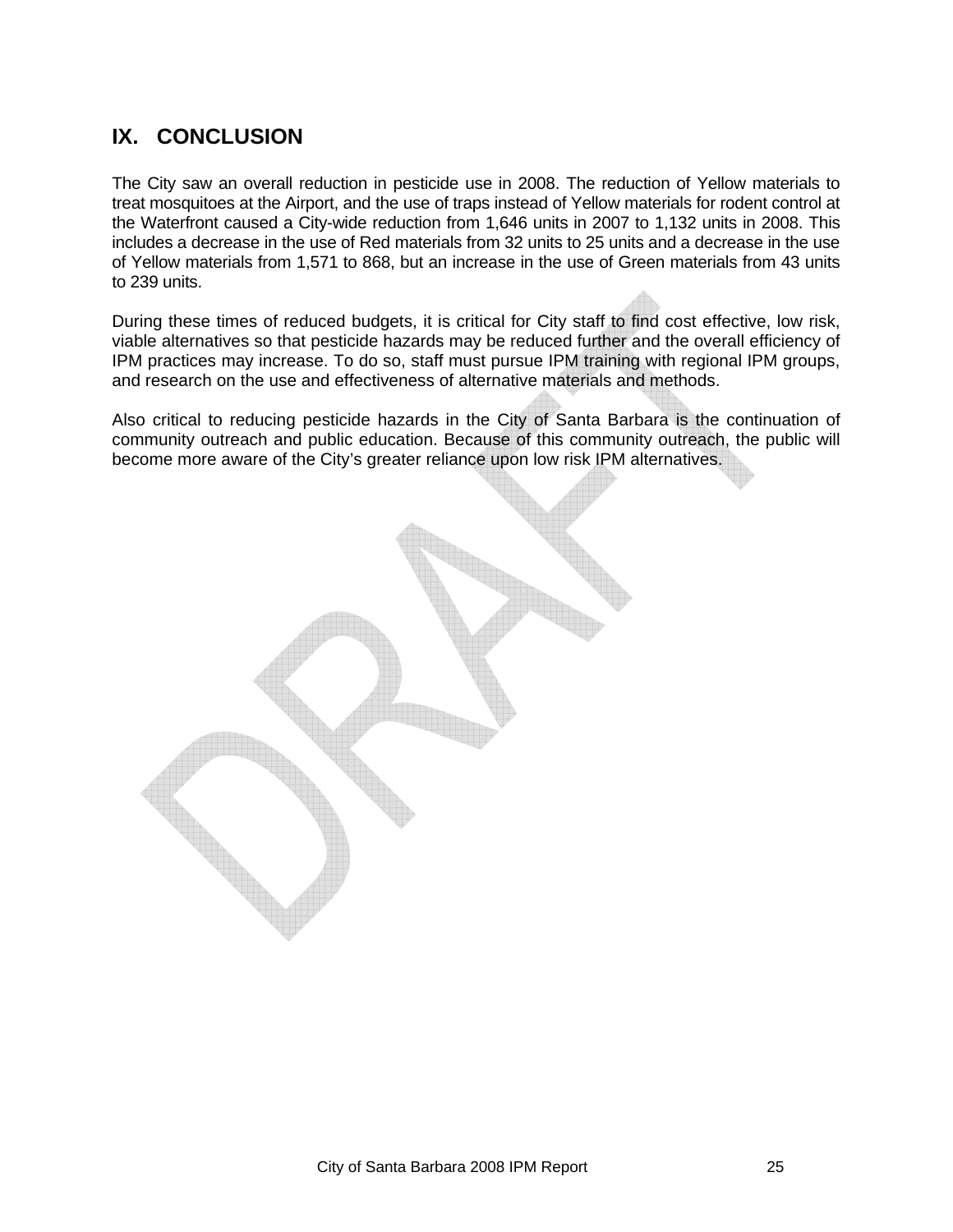### **IX. CONCLUSION**

The City saw an overall reduction in pesticide use in 2008. The reduction of Yellow materials to treat mosquitoes at the Airport, and the use of traps instead of Yellow materials for rodent control at the Waterfront caused a City-wide reduction from 1,646 units in 2007 to 1,132 units in 2008. This includes a decrease in the use of Red materials from 32 units to 25 units and a decrease in the use of Yellow materials from 1,571 to 868, but an increase in the use of Green materials from 43 units to 239 units.

During these times of reduced budgets, it is critical for City staff to find cost effective, low risk, viable alternatives so that pesticide hazards may be reduced further and the overall efficiency of IPM practices may increase. To do so, staff must pursue IPM training with regional IPM groups, and research on the use and effectiveness of alternative materials and methods.

Also critical to reducing pesticide hazards in the City of Santa Barbara is the continuation of community outreach and public education. Because of this community outreach, the public will become more aware of the City's greater reliance upon low risk IPM alternatives.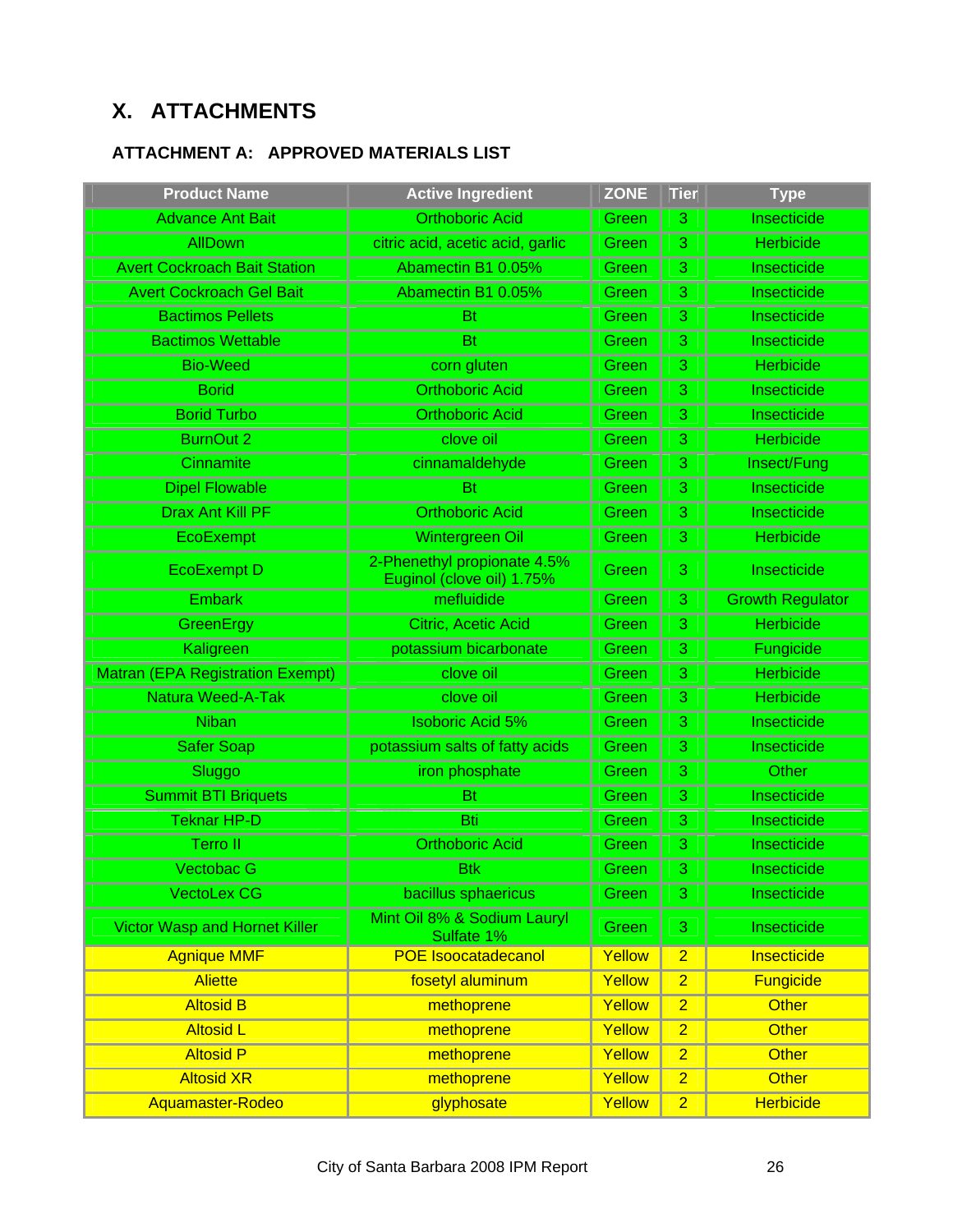### **X. ATTACHMENTS**

### **ATTACHMENT A: APPROVED MATERIALS LIST**

| <b>Product Name</b>                     | <b>Active Ingredient</b>                                 | <b>ZONE</b> | <b>Tier</b>    | <b>Type</b>             |
|-----------------------------------------|----------------------------------------------------------|-------------|----------------|-------------------------|
| <b>Advance Ant Bait</b>                 | <b>Orthoboric Acid</b>                                   | Green       | 3              | Insecticide             |
| <b>AllDown</b>                          | citric acid, acetic acid, garlic                         | Green       | 3              | <b>Herbicide</b>        |
| <b>Avert Cockroach Bait Station</b>     | Abamectin B1 0.05%                                       | Green       | 3              | <b>Insecticide</b>      |
| <b>Avert Cockroach Gel Bait</b>         | Abamectin B1 0.05%                                       | Green       | 3              | Insecticide             |
| <b>Bactimos Pellets</b>                 | <b>Bt</b>                                                | Green       | 3              | Insecticide             |
| <b>Bactimos Wettable</b>                | <b>Bt</b>                                                | Green       | 3              | Insecticide             |
| <b>Bio-Weed</b>                         | corn gluten                                              | Green       | 3              | <b>Herbicide</b>        |
| <b>Borid</b>                            | <b>Orthoboric Acid</b>                                   | Green       | 3              | Insecticide             |
| <b>Borid Turbo</b>                      | <b>Orthoboric Acid</b>                                   | Green       | 3              | Insecticide             |
| <b>BurnOut 2</b>                        | clove oil                                                | Green       | 3              | <b>Herbicide</b>        |
| Cinnamite                               | cinnamaldehyde                                           | Green       | 3              | Insect/Fung             |
| <b>Dipel Flowable</b>                   | <b>Bt</b>                                                | Green       | 3              | Insecticide             |
| <b>Drax Ant Kill PF</b>                 | <b>Orthoboric Acid</b>                                   | Green       | 3              | Insecticide             |
| EcoExempt                               | Wintergreen Oil                                          | Green       | 3              | <b>Herbicide</b>        |
| <b>EcoExempt D</b>                      | 2-Phenethyl propionate 4.5%<br>Euginol (clove oil) 1.75% | Green       | 3              | Insecticide             |
| <b>Embark</b>                           | mefluidide                                               | Green       | 3              | <b>Growth Regulator</b> |
| GreenErgy                               | Citric, Acetic Acid                                      | Green       | 3              | <b>Herbicide</b>        |
| Kaligreen                               | potassium bicarbonate                                    | Green       | 3              | Fungicide               |
| <b>Matran (EPA Registration Exempt)</b> | clove oil                                                | Green       | 3              | <b>Herbicide</b>        |
| Natura Weed-A-Tak                       | clove oil                                                | Green       | 3              | <b>Herbicide</b>        |
| <b>Niban</b>                            | <b>Isoboric Acid 5%</b>                                  | Green       | 3              | <b>Insecticide</b>      |
| <b>Safer Soap</b>                       | potassium salts of fatty acids                           | Green       | 3              | Insecticide             |
| Sluggo                                  | iron phosphate                                           | Green       | 3              | Other                   |
| <b>Summit BTI Briquets</b>              | <b>Bt</b>                                                | Green       | 3              | Insecticide             |
| <b>Teknar HP-D</b>                      | <b>Bti</b>                                               | Green       | 3              | <b>Insecticide</b>      |
| <b>Terro II</b>                         | <b>Orthoboric Acid</b>                                   | Green       | 3              | Insecticide             |
| <b>Vectobac G</b>                       | <b>Btk</b>                                               | Green       | 3              | Insecticide             |
| <b>VectoLex CG</b>                      | bacillus sphaericus                                      | Green       | 3              | Insecticide             |
| <b>Victor Wasp and Hornet Killer</b>    | Mint Oil 8% & Sodium Lauryl<br>Sulfate 1%                | Green       | 3              | Insecticide             |
| <b>Agnique MMF</b>                      | <b>POE Isoocatadecanol</b>                               | Yellow      | $\overline{2}$ | <b>Insecticide</b>      |
| <b>Aliette</b>                          | fosetyl aluminum                                         | Yellow      | $\overline{2}$ | <b>Fungicide</b>        |
| <b>Altosid B</b>                        | methoprene                                               | Yellow      | $\overline{2}$ | <b>Other</b>            |
| <b>Altosid L</b>                        | methoprene                                               | Yellow      | $\overline{2}$ | <b>Other</b>            |
| <b>Altosid P</b>                        | methoprene                                               | Yellow      | $\overline{2}$ | <b>Other</b>            |
| <b>Altosid XR</b>                       | methoprene                                               | Yellow      | $\overline{2}$ | <b>Other</b>            |
| Aquamaster-Rodeo                        | glyphosate                                               | Yellow      | $\overline{2}$ | <b>Herbicide</b>        |